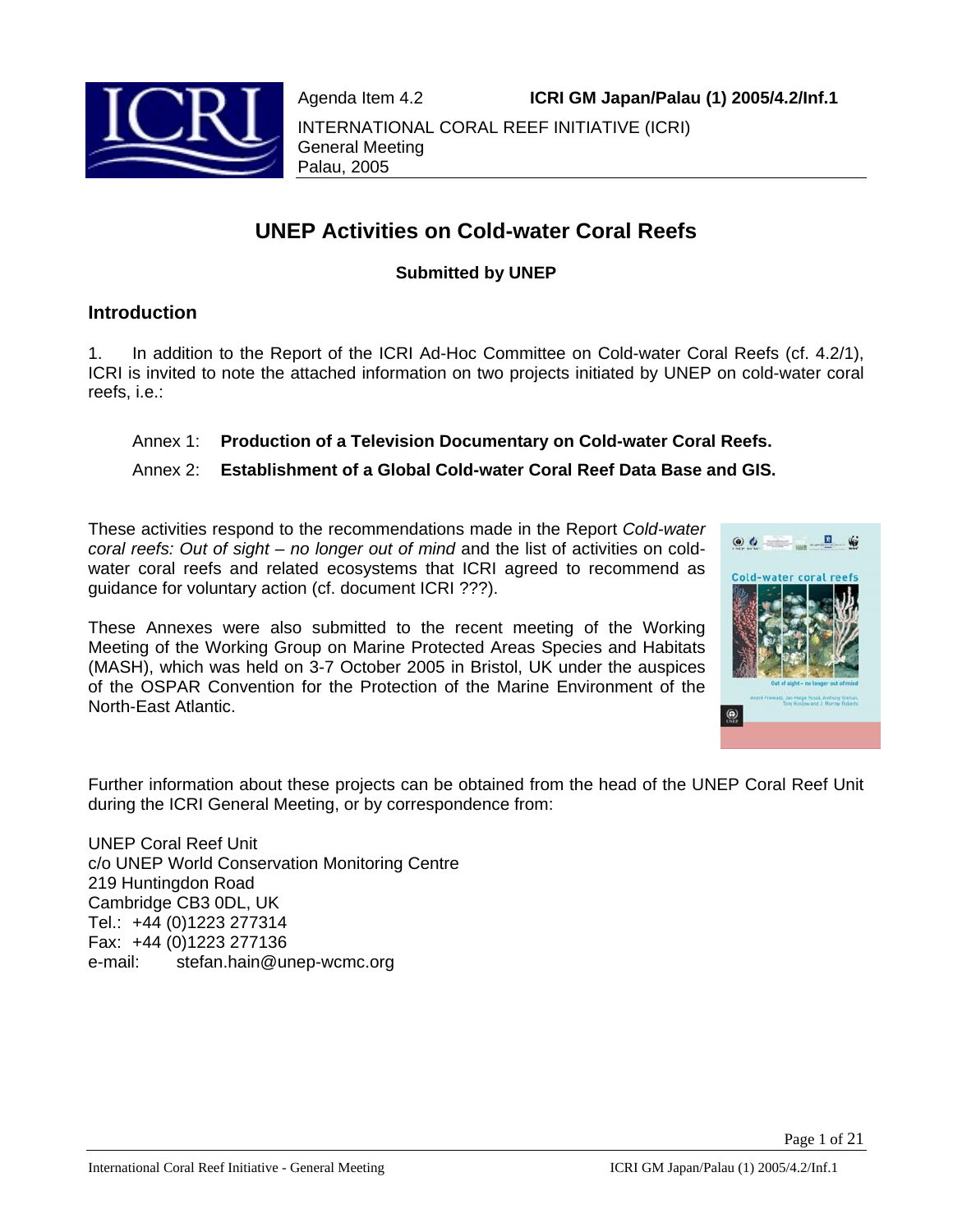Agenda Item 4.2 **ICRI GM Japan/Palau (1) 2005/4.2/Inf.1**



INTERNATIONAL CORAL REEF INITIATIVE (ICRI) General Meeting Palau, 2005

# **UNEP Activities on Cold-water Coral Reefs**

# **Submitted by UNEP**

# **Introduction**

1. In addition to the Report of the ICRI Ad-Hoc Committee on Cold-water Coral Reefs (cf. 4.2/1), ICRI is invited to note the attached information on two projects initiated by UNEP on cold-water coral reefs, i.e.:

# Annex 1: **Production of a Television Documentary on Cold-water Coral Reefs.**

# Annex 2: **Establishment of a Global Cold-water Coral Reef Data Base and GIS.**

These activities respond to the recommendations made in the Report *Cold-water coral reefs: Out of sight – no longer out of mind* and the list of activities on coldwater coral reefs and related ecosystems that ICRI agreed to recommend as guidance for voluntary action (cf. document ICRI ???).

These Annexes were also submitted to the recent meeting of the Working Meeting of the Working Group on Marine Protected Areas Species and Habitats (MASH), which was held on 3-7 October 2005 in Bristol, UK under the auspices of the OSPAR Convention for the Protection of the Marine Environment of the North-East Atlantic.



Further information about these projects can be obtained from the head of the UNEP Coral Reef Unit during the ICRI General Meeting, or by correspondence from:

UNEP Coral Reef Unit c/o UNEP World Conservation Monitoring Centre 219 Huntingdon Road Cambridge CB3 0DL, UK Tel.: +44 (0)1223 277314 Fax: +44 (0)1223 277136 e-mail: stefan.hain@unep-wcmc.org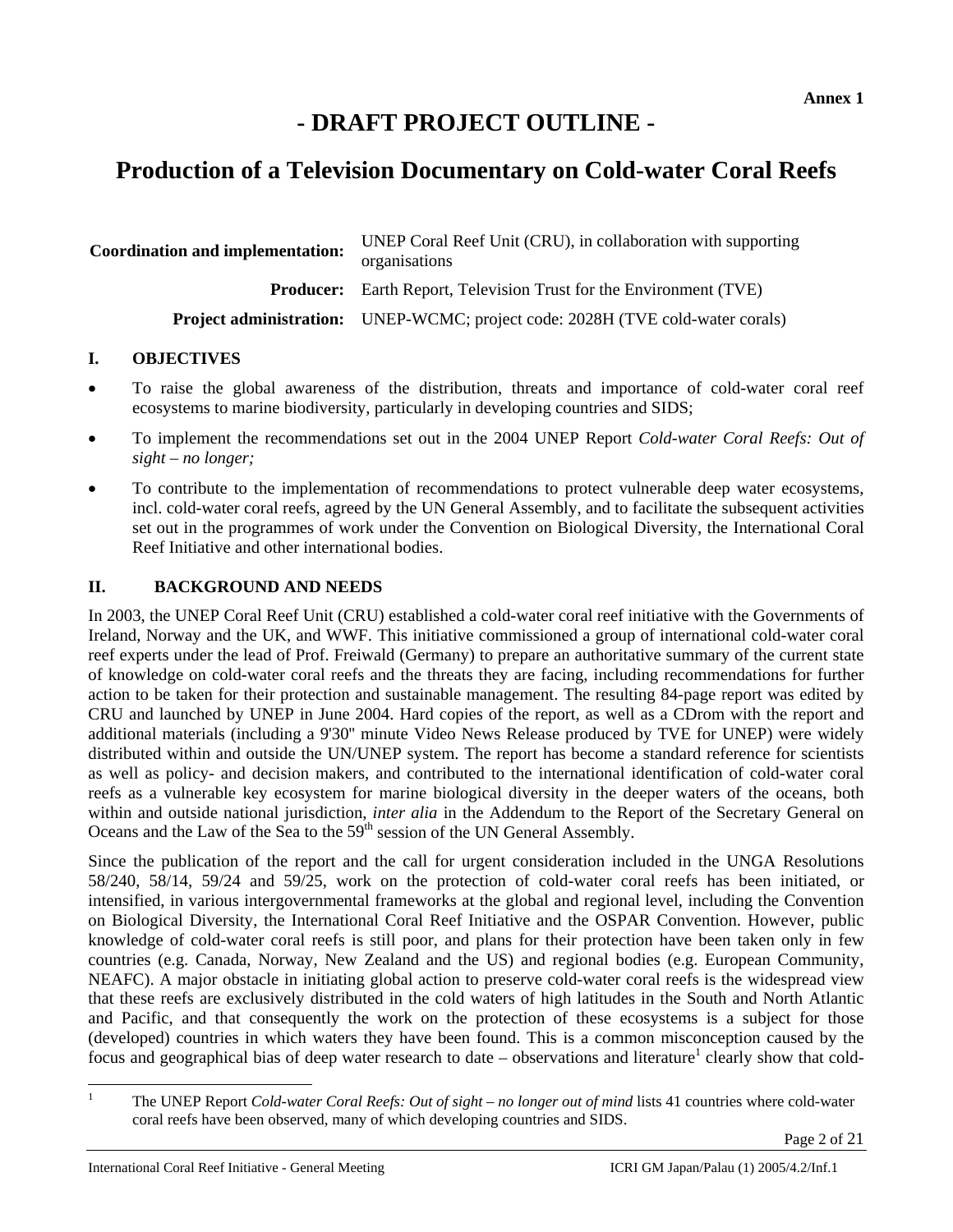# **- DRAFT PROJECT OUTLINE -**

# **Production of a Television Documentary on Cold-water Coral Reefs**

| <b>Coordination and implementation:</b> | UNEP Coral Reef Unit (CRU), in collaboration with supporting<br>organisations         |
|-----------------------------------------|---------------------------------------------------------------------------------------|
|                                         | <b>Producer:</b> Earth Report, Television Trust for the Environment (TVE)             |
|                                         | <b>Project administration:</b> UNEP-WCMC; project code: 2028H (TVE cold-water corals) |

# **I. OBJECTIVES**

- To raise the global awareness of the distribution, threats and importance of cold-water coral reef ecosystems to marine biodiversity, particularly in developing countries and SIDS;
- To implement the recommendations set out in the 2004 UNEP Report *Cold-water Coral Reefs: Out of sight – no longer;*
- To contribute to the implementation of recommendations to protect vulnerable deep water ecosystems, incl. cold-water coral reefs, agreed by the UN General Assembly, and to facilitate the subsequent activities set out in the programmes of work under the Convention on Biological Diversity, the International Coral Reef Initiative and other international bodies.

# **II. BACKGROUND AND NEEDS**

In 2003, the UNEP Coral Reef Unit (CRU) established a cold-water coral reef initiative with the Governments of Ireland, Norway and the UK, and WWF. This initiative commissioned a group of international cold-water coral reef experts under the lead of Prof. Freiwald (Germany) to prepare an authoritative summary of the current state of knowledge on cold-water coral reefs and the threats they are facing, including recommendations for further action to be taken for their protection and sustainable management. The resulting 84-page report was edited by CRU and launched by UNEP in June 2004. Hard copies of the report, as well as a CDrom with the report and additional materials (including a 9'30'' minute Video News Release produced by TVE for UNEP) were widely distributed within and outside the UN/UNEP system. The report has become a standard reference for scientists as well as policy- and decision makers, and contributed to the international identification of cold-water coral reefs as a vulnerable key ecosystem for marine biological diversity in the deeper waters of the oceans, both within and outside national jurisdiction, *inter alia* in the Addendum to the Report of the Secretary General on Oceans and the Law of the Sea to the 59th session of the UN General Assembly.

Since the publication of the report and the call for urgent consideration included in the UNGA Resolutions 58/240, 58/14, 59/24 and 59/25, work on the protection of cold-water coral reefs has been initiated, or intensified, in various intergovernmental frameworks at the global and regional level, including the Convention on Biological Diversity, the International Coral Reef Initiative and the OSPAR Convention. However, public knowledge of cold-water coral reefs is still poor, and plans for their protection have been taken only in few countries (e.g. Canada, Norway, New Zealand and the US) and regional bodies (e.g. European Community, NEAFC). A major obstacle in initiating global action to preserve cold-water coral reefs is the widespread view that these reefs are exclusively distributed in the cold waters of high latitudes in the South and North Atlantic and Pacific, and that consequently the work on the protection of these ecosystems is a subject for those (developed) countries in which waters they have been found. This is a common misconception caused by the focus and geographical bias of deep water research to date – observations and literature<sup>1</sup> clearly show that cold-

 $\frac{1}{1}$ 

The UNEP Report *Cold-water Coral Reefs: Out of sight – no longer out of mind* lists 41 countries where cold-water coral reefs have been observed, many of which developing countries and SIDS.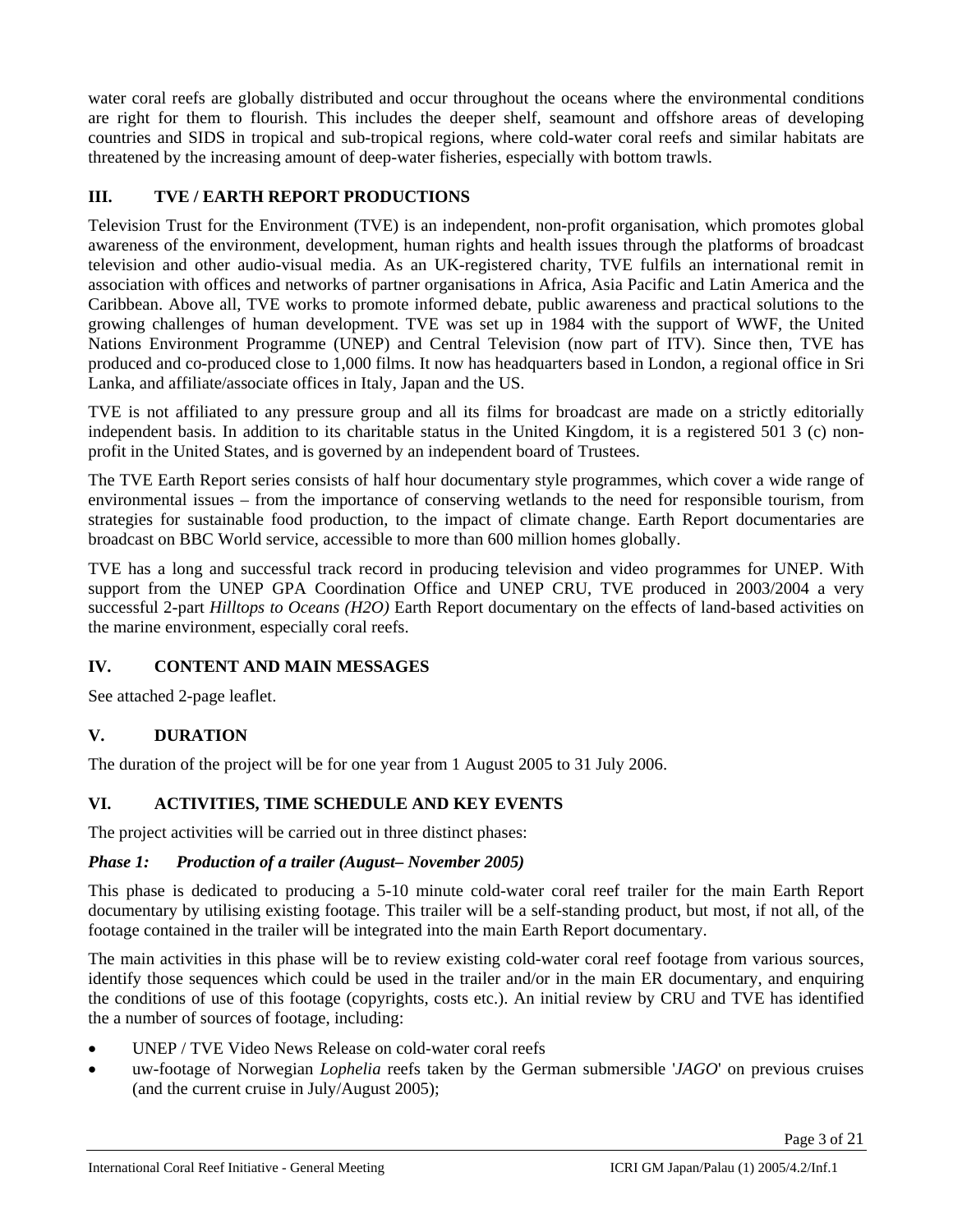water coral reefs are globally distributed and occur throughout the oceans where the environmental conditions are right for them to flourish. This includes the deeper shelf, seamount and offshore areas of developing countries and SIDS in tropical and sub-tropical regions, where cold-water coral reefs and similar habitats are threatened by the increasing amount of deep-water fisheries, especially with bottom trawls.

# **III. TVE / EARTH REPORT PRODUCTIONS**

Television Trust for the Environment (TVE) is an independent, non-profit organisation, which promotes global awareness of the environment, development, human rights and health issues through the platforms of broadcast television and other audio-visual media. As an UK-registered charity, TVE fulfils an international remit in association with offices and networks of partner organisations in Africa, Asia Pacific and Latin America and the Caribbean. Above all, TVE works to promote informed debate, public awareness and practical solutions to the growing challenges of human development. TVE was set up in 1984 with the support of WWF, the United Nations Environment Programme (UNEP) and Central Television (now part of ITV). Since then, TVE has produced and co-produced close to 1,000 films. It now has headquarters based in London, a regional office in Sri Lanka, and affiliate/associate offices in Italy, Japan and the US.

TVE is not affiliated to any pressure group and all its films for broadcast are made on a strictly editorially independent basis. In addition to its charitable status in the United Kingdom, it is a registered 501 3 (c) nonprofit in the United States, and is governed by an independent board of Trustees.

The TVE Earth Report series consists of half hour documentary style programmes, which cover a wide range of environmental issues – from the importance of conserving wetlands to the need for responsible tourism, from strategies for sustainable food production, to the impact of climate change. Earth Report documentaries are broadcast on BBC World service, accessible to more than 600 million homes globally.

TVE has a long and successful track record in producing television and video programmes for UNEP. With support from the UNEP GPA Coordination Office and UNEP CRU, TVE produced in 2003/2004 a very successful 2-part *Hilltops to Oceans (H2O)* Earth Report documentary on the effects of land-based activities on the marine environment, especially coral reefs.

# **IV. CONTENT AND MAIN MESSAGES**

See attached 2-page leaflet.

# **V. DURATION**

The duration of the project will be for one year from 1 August 2005 to 31 July 2006.

# **VI. ACTIVITIES, TIME SCHEDULE AND KEY EVENTS**

The project activities will be carried out in three distinct phases:

# *Phase 1: Production of a trailer (August– November 2005)*

This phase is dedicated to producing a 5-10 minute cold-water coral reef trailer for the main Earth Report documentary by utilising existing footage. This trailer will be a self-standing product, but most, if not all, of the footage contained in the trailer will be integrated into the main Earth Report documentary.

The main activities in this phase will be to review existing cold-water coral reef footage from various sources, identify those sequences which could be used in the trailer and/or in the main ER documentary, and enquiring the conditions of use of this footage (copyrights, costs etc.). An initial review by CRU and TVE has identified the a number of sources of footage, including:

- UNEP / TVE Video News Release on cold-water coral reefs
- uw-footage of Norwegian *Lophelia* reefs taken by the German submersible '*JAGO*' on previous cruises (and the current cruise in July/August 2005);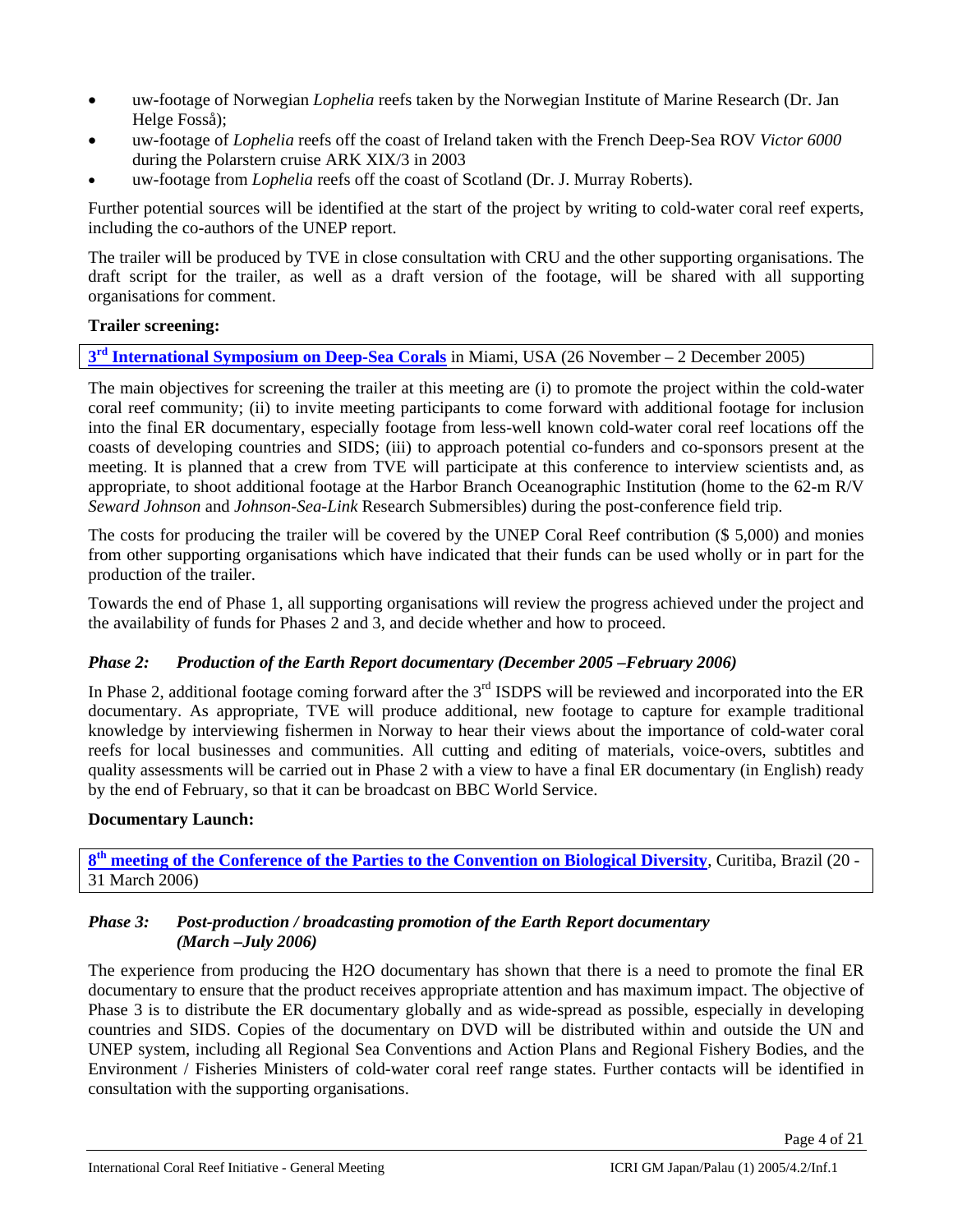- uw-footage of Norwegian *Lophelia* reefs taken by the Norwegian Institute of Marine Research (Dr. Jan Helge Fosså);
- uw-footage of *Lophelia* reefs off the coast of Ireland taken with the French Deep-Sea ROV *Victor 6000* during the Polarstern cruise ARK XIX/3 in 2003
- uw-footage from *Lophelia* reefs off the coast of Scotland (Dr. J. Murray Roberts).

Further potential sources will be identified at the start of the project by writing to cold-water coral reef experts, including the co-authors of the UNEP report.

The trailer will be produced by TVE in close consultation with CRU and the other supporting organisations. The draft script for the trailer, as well as a draft version of the footage, will be shared with all supporting organisations for comment.

# **Trailer screening:**

**3rd International Symposium on Deep-Sea Corals** in Miami, USA (26 November – 2 December 2005)

The main objectives for screening the trailer at this meeting are (i) to promote the project within the cold-water coral reef community; (ii) to invite meeting participants to come forward with additional footage for inclusion into the final ER documentary, especially footage from less-well known cold-water coral reef locations off the coasts of developing countries and SIDS; (iii) to approach potential co-funders and co-sponsors present at the meeting. It is planned that a crew from TVE will participate at this conference to interview scientists and, as appropriate, to shoot additional footage at the Harbor Branch Oceanographic Institution (home to the 62-m R/V *Seward Johnson* and *Johnson-Sea-Link* Research Submersibles) during the post-conference field trip.

The costs for producing the trailer will be covered by the UNEP Coral Reef contribution (\$ 5,000) and monies from other supporting organisations which have indicated that their funds can be used wholly or in part for the production of the trailer.

Towards the end of Phase 1, all supporting organisations will review the progress achieved under the project and the availability of funds for Phases 2 and 3, and decide whether and how to proceed.

# *Phase 2: Production of the Earth Report documentary (December 2005 –February 2006)*

In Phase 2, additional footage coming forward after the 3<sup>rd</sup> ISDPS will be reviewed and incorporated into the ER documentary. As appropriate, TVE will produce additional, new footage to capture for example traditional knowledge by interviewing fishermen in Norway to hear their views about the importance of cold-water coral reefs for local businesses and communities. All cutting and editing of materials, voice-overs, subtitles and quality assessments will be carried out in Phase 2 with a view to have a final ER documentary (in English) ready by the end of February, so that it can be broadcast on BBC World Service.

# **Documentary Launch:**

**8th meeting of the Conference of the Parties to the Convention on Biological Diversity**, Curitiba, Brazil (20 - 31 March 2006)

### *Phase 3: Post-production / broadcasting promotion of the Earth Report documentary (March –July 2006)*

The experience from producing the H2O documentary has shown that there is a need to promote the final ER documentary to ensure that the product receives appropriate attention and has maximum impact. The objective of Phase 3 is to distribute the ER documentary globally and as wide-spread as possible, especially in developing countries and SIDS. Copies of the documentary on DVD will be distributed within and outside the UN and UNEP system, including all Regional Sea Conventions and Action Plans and Regional Fishery Bodies, and the Environment / Fisheries Ministers of cold-water coral reef range states. Further contacts will be identified in consultation with the supporting organisations.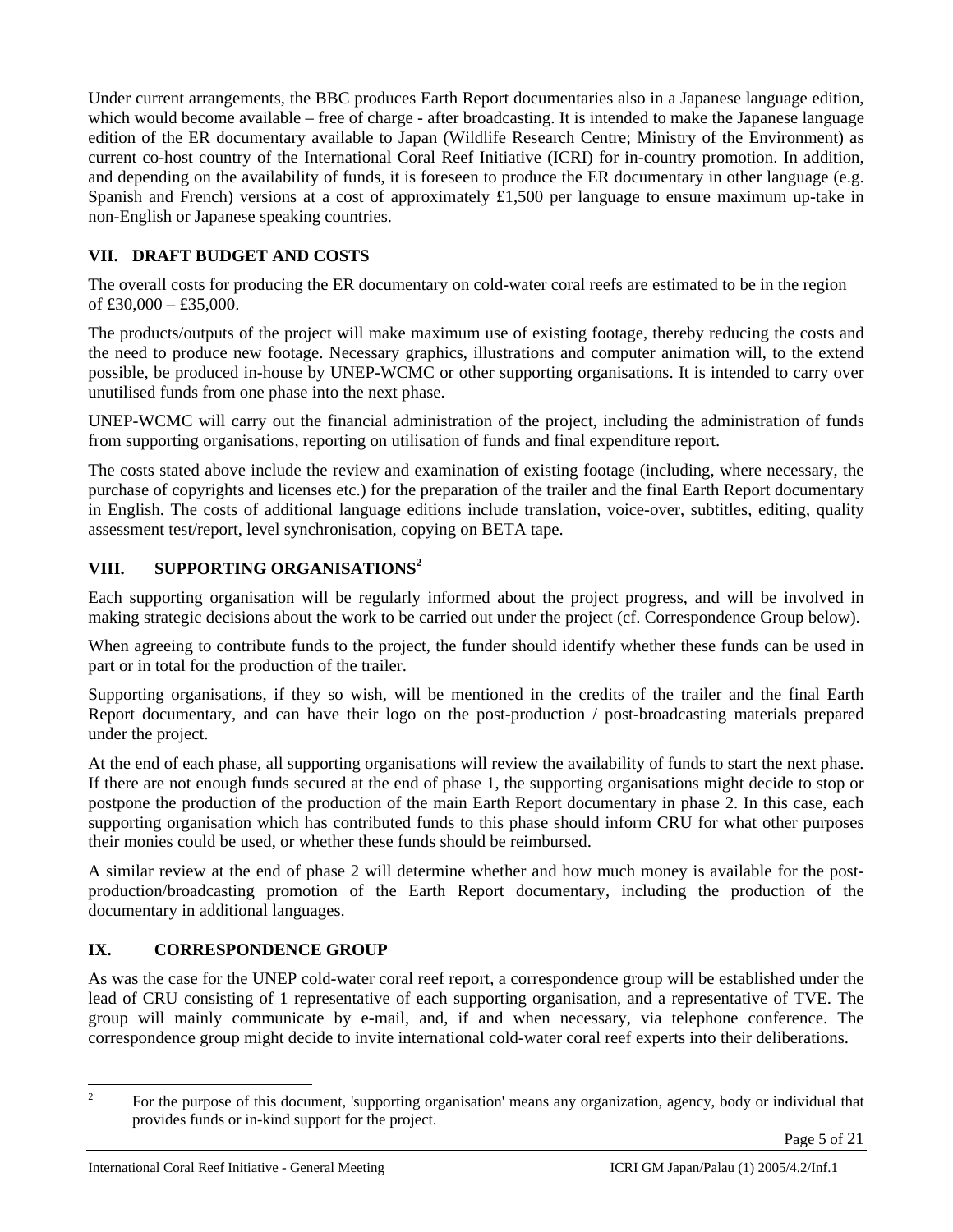Under current arrangements, the BBC produces Earth Report documentaries also in a Japanese language edition, which would become available – free of charge - after broadcasting. It is intended to make the Japanese language edition of the ER documentary available to Japan (Wildlife Research Centre; Ministry of the Environment) as current co-host country of the International Coral Reef Initiative (ICRI) for in-country promotion. In addition, and depending on the availability of funds, it is foreseen to produce the ER documentary in other language (e.g. Spanish and French) versions at a cost of approximately £1,500 per language to ensure maximum up-take in non-English or Japanese speaking countries.

# **VII. DRAFT BUDGET AND COSTS**

The overall costs for producing the ER documentary on cold-water coral reefs are estimated to be in the region of  $£30,000 - £35,000$ .

The products/outputs of the project will make maximum use of existing footage, thereby reducing the costs and the need to produce new footage. Necessary graphics, illustrations and computer animation will, to the extend possible, be produced in-house by UNEP-WCMC or other supporting organisations. It is intended to carry over unutilised funds from one phase into the next phase.

UNEP-WCMC will carry out the financial administration of the project, including the administration of funds from supporting organisations, reporting on utilisation of funds and final expenditure report.

The costs stated above include the review and examination of existing footage (including, where necessary, the purchase of copyrights and licenses etc.) for the preparation of the trailer and the final Earth Report documentary in English. The costs of additional language editions include translation, voice-over, subtitles, editing, quality assessment test/report, level synchronisation, copying on BETA tape.

# **VIII. SUPPORTING ORGANISATIONS<sup>2</sup>**

Each supporting organisation will be regularly informed about the project progress, and will be involved in making strategic decisions about the work to be carried out under the project (cf. Correspondence Group below).

When agreeing to contribute funds to the project, the funder should identify whether these funds can be used in part or in total for the production of the trailer.

Supporting organisations, if they so wish, will be mentioned in the credits of the trailer and the final Earth Report documentary, and can have their logo on the post-production / post-broadcasting materials prepared under the project.

At the end of each phase, all supporting organisations will review the availability of funds to start the next phase. If there are not enough funds secured at the end of phase 1, the supporting organisations might decide to stop or postpone the production of the production of the main Earth Report documentary in phase 2. In this case, each supporting organisation which has contributed funds to this phase should inform CRU for what other purposes their monies could be used, or whether these funds should be reimbursed.

A similar review at the end of phase 2 will determine whether and how much money is available for the postproduction/broadcasting promotion of the Earth Report documentary, including the production of the documentary in additional languages.

# **IX. CORRESPONDENCE GROUP**

As was the case for the UNEP cold-water coral reef report, a correspondence group will be established under the lead of CRU consisting of 1 representative of each supporting organisation, and a representative of TVE. The group will mainly communicate by e-mail, and, if and when necessary, via telephone conference. The correspondence group might decide to invite international cold-water coral reef experts into their deliberations.

 $\frac{1}{2}$ 

For the purpose of this document, 'supporting organisation' means any organization, agency, body or individual that provides funds or in-kind support for the project.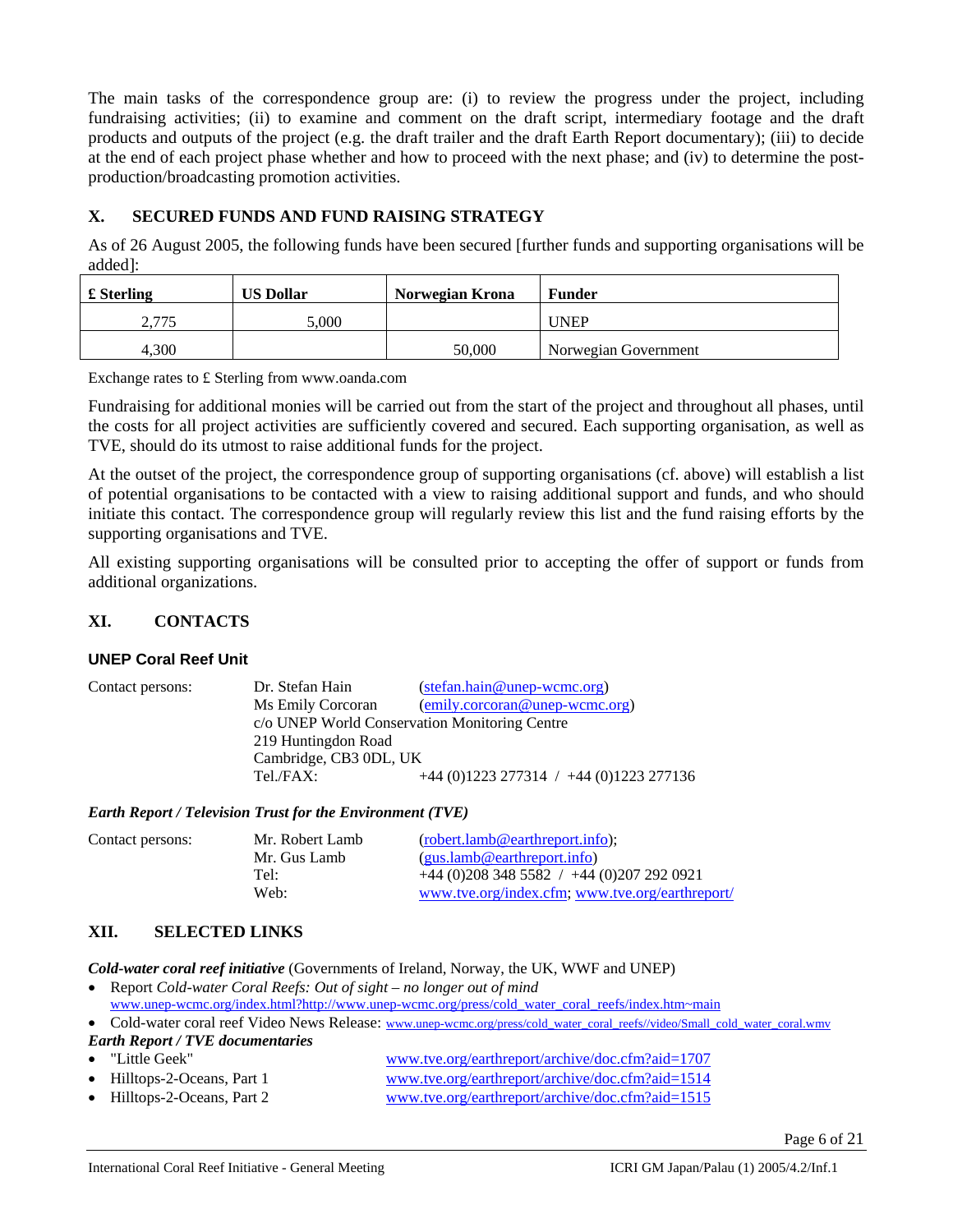The main tasks of the correspondence group are: (i) to review the progress under the project, including fundraising activities; (ii) to examine and comment on the draft script, intermediary footage and the draft products and outputs of the project (e.g. the draft trailer and the draft Earth Report documentary); (iii) to decide at the end of each project phase whether and how to proceed with the next phase; and (iv) to determine the postproduction/broadcasting promotion activities.

#### **X. SECURED FUNDS AND FUND RAISING STRATEGY**

As of 26 August 2005, the following funds have been secured [further funds and supporting organisations will be added]:

| £ Sterling | <b>US Dollar</b> | Norwegian Krona | <b>Funder</b>        |
|------------|------------------|-----------------|----------------------|
| 2.775      | 000.             |                 | <b>UNEP</b>          |
| 4.300      |                  | 50,000          | Norwegian Government |

Exchange rates to £ Sterling from www.oanda.com

Fundraising for additional monies will be carried out from the start of the project and throughout all phases, until the costs for all project activities are sufficiently covered and secured. Each supporting organisation, as well as TVE, should do its utmost to raise additional funds for the project.

At the outset of the project, the correspondence group of supporting organisations (cf. above) will establish a list of potential organisations to be contacted with a view to raising additional support and funds, and who should initiate this contact. The correspondence group will regularly review this list and the fund raising efforts by the supporting organisations and TVE.

All existing supporting organisations will be consulted prior to accepting the offer of support or funds from additional organizations.

#### **XI. CONTACTS**

#### **UNEP Coral Reef Unit**

| Contact persons: | Dr. Stefan Hain                               | (stefan.hain@unep-wcmc.org)                 |  |
|------------------|-----------------------------------------------|---------------------------------------------|--|
|                  | Ms Emily Corcoran                             | (emily.corcoran@unep-wcmc.org)              |  |
|                  | c/o UNEP World Conservation Monitoring Centre |                                             |  |
|                  | 219 Huntingdon Road                           |                                             |  |
|                  | Cambridge, CB3 0DL, UK                        |                                             |  |
|                  | Tel./FAX:                                     | $+44$ (0)1223 277314 / $+44$ (0)1223 277136 |  |

*Earth Report / Television Trust for the Environment (TVE)* 

| Contact persons: | Mr. Robert Lamb | (robert.lamb@earthreport.info);                 |
|------------------|-----------------|-------------------------------------------------|
|                  | Mr. Gus Lamb    | (gus.lamb@earthreport.info)                     |
|                  | Tel:            | $+44(0)2083485582$ / $+44(0)2072920921$         |
|                  | Web:            | www.tve.org/index.cfm; www.tve.org/earthreport/ |
|                  |                 |                                                 |

#### **XII. SELECTED LINKS**

*Cold-water coral reef initiative* (Governments of Ireland, Norway, the UK, WWF and UNEP)

• Report *Cold-water Coral Reefs: Out of sight – no longer out of mind* www.unep-wcmc.org/index.html?http://www.unep-wcmc.org/press/cold\_water\_coral\_reefs/index.htm~main

• Cold-water coral reef Video News Release: www.unep-wcmc.org/press/cold\_water\_coral\_reefs//video/Small\_cold\_water\_coral.wmv *Earth Report / TVE documentaries* 

• "Little Geek" www.tve.org/earthreport/archive/doc.cfm?aid=1707 • Hilltops-2-Oceans, Part 1 www.tve.org/earthreport/archive/doc.cfm?aid=1514 • Hilltops-2-Oceans, Part 2 www.tve.org/earthreport/archive/doc.cfm?aid=1515

Page 6 of 21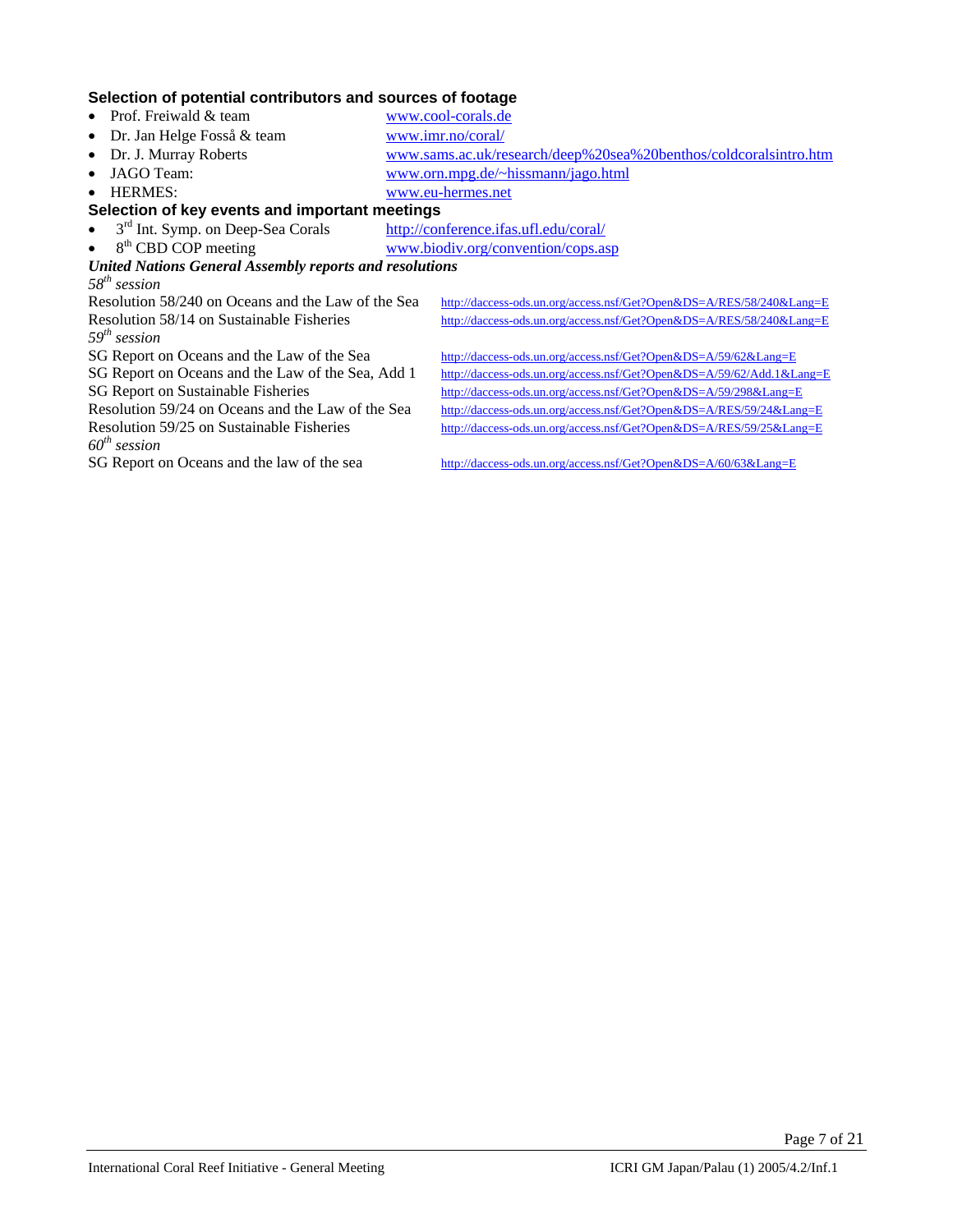#### **Selection of potential contributors and sources of footage**

- Prof. Freiwald & team www.cool-corals.de
- Dr. Jan Helge Fosså & team www.imr.no/coral/
- Dr. J. Murray Roberts www.sams.ac.uk/research/deep%20sea%20benthos/coldcoralsintro.htm
- JAGO Team: www.orn.mpg.de/~hissmann/jago.html
- 
- HERMES: www.eu-hermes.net

# **Selection of key events and important meetings**

- <sup>3rd</sup> Int. Symp. on Deep-Sea Corals http://conference.ifas.ufl.edu/coral/<br>
8<sup>th</sup> CBD COP meeting www.biodiv.org/convention/cops.as
- 

www.biodiv.org/convention/cops.asp *United Nations General Assembly reports and resolutions* 

*58th session 59th session* 

http://daccess-ods.un.org/access.nsf/Get?Open&DS=A/RES/58/240&Lang=E Resolution 58/14 on Sustainable Fisheries http://daccess-ods.un.org/access.nsf/Get?Open&DS=A/RES/58/240&Lang=E

SG Report on Oceans and the Law of the Sea http://daccess-ods.un.org/access.nsf/Get?Open&DS=A/59/62&Lang=E SG Report on Oceans and the Law of the Sea, Add 1 http://daccess-ods.un.org/access.nsf/Get?Open&DS=A/59/62/Add.1&Lang=E SG Report on Sustainable Fisheries http://daccess-ods.un.org/access.nsf/Get?Open&DS=A/59/298&Lang=E Resolution 59/24 on Oceans and the Law of the Sea http://daccess-ods.un.org/access.nsf/Get?Open&DS=A/RES/59/24&Lang=E Resolution 59/25 on Sustainable Fisheries http://daccess-ods.un.org/access.nsf/Get?Open&DS=A/RES/59/25&Lang=E

*60th session* 

http://daccess-ods.un.org/access.nsf/Get?Open&DS=A/60/63&Lang=E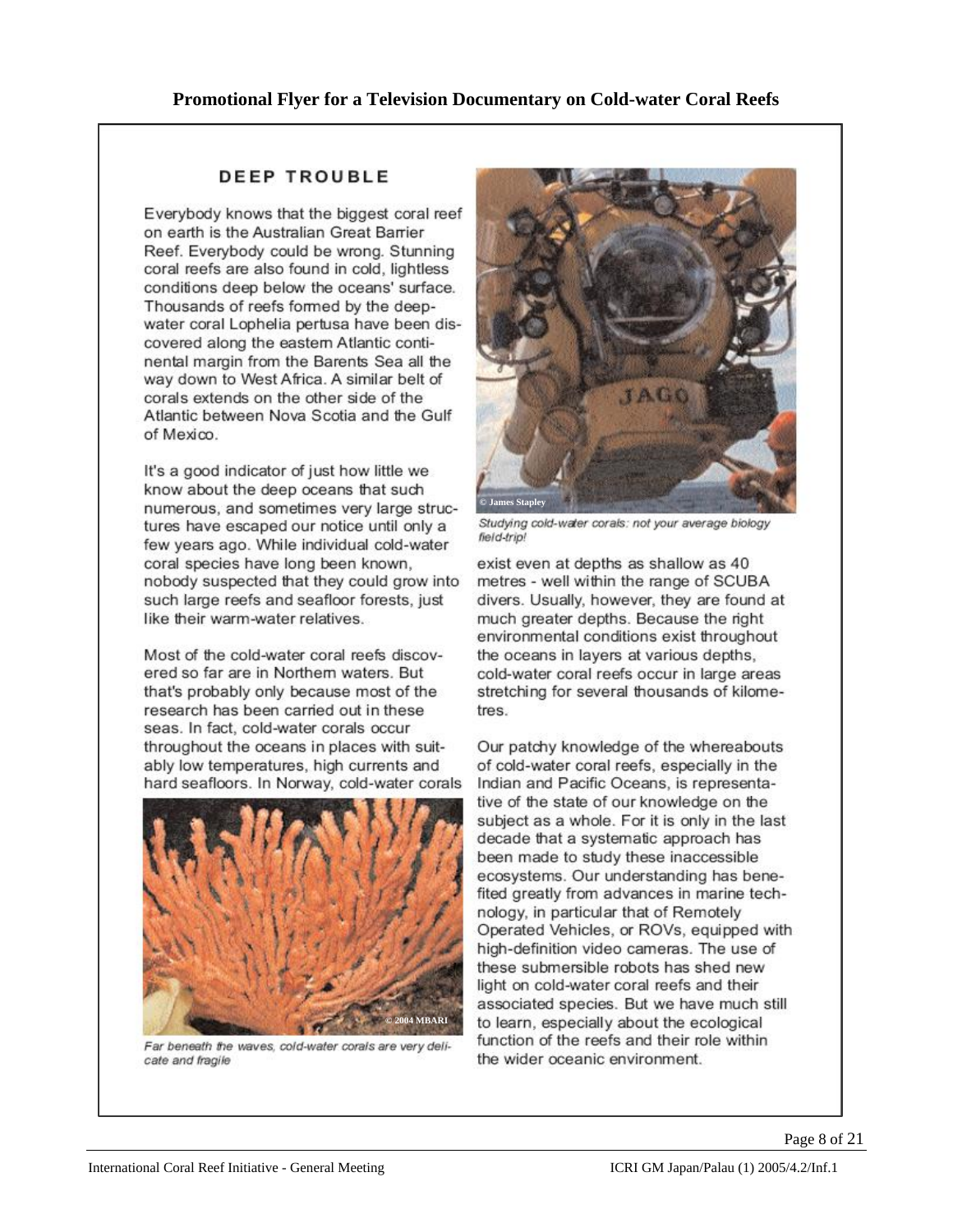# **DEEP TROUBLE**

Everybody knows that the biggest coral reef on earth is the Australian Great Barrier Reef. Everybody could be wrong. Stunning coral reefs are also found in cold, lightless conditions deep below the oceans' surface. Thousands of reefs formed by the deepwater coral Lophelia pertusa have been discovered along the eastern Atlantic continental margin from the Barents Sea all the way down to West Africa. A similar belt of corals extends on the other side of the Atlantic between Nova Scotia and the Gulf of Mexico.

It's a good indicator of just how little we know about the deep oceans that such numerous, and sometimes very large structures have escaped our notice until only a few years ago. While individual cold-water coral species have long been known, nobody suspected that they could grow into such large reefs and seafloor forests, just like their warm-water relatives.

Most of the cold-water coral reefs discovered so far are in Northern waters. But that's probably only because most of the research has been carried out in these seas. In fact, cold-water corals occur throughout the oceans in places with suitably low temperatures, high currents and hard seafloors. In Norway, cold-water corals



Far beneath the waves, cold-water corals are very delicate and fragile



Studying cold-water corals: not your average biology field-trip!

exist even at depths as shallow as 40 metres - well within the range of SCUBA divers. Usually, however, they are found at much greater depths. Because the right environmental conditions exist throughout the oceans in layers at various depths, cold-water coral reefs occur in large areas stretching for several thousands of kilometres.

Our patchy knowledge of the whereabouts of cold-water coral reefs, especially in the Indian and Pacific Oceans, is representative of the state of our knowledge on the subject as a whole. For it is only in the last decade that a systematic approach has been made to study these inaccessible ecosystems. Our understanding has benefited greatly from advances in marine technology, in particular that of Remotely Operated Vehicles, or ROVs, equipped with high-definition video cameras. The use of these submersible robots has shed new light on cold-water coral reefs and their associated species. But we have much still to learn, especially about the ecological function of the reefs and their role within the wider oceanic environment.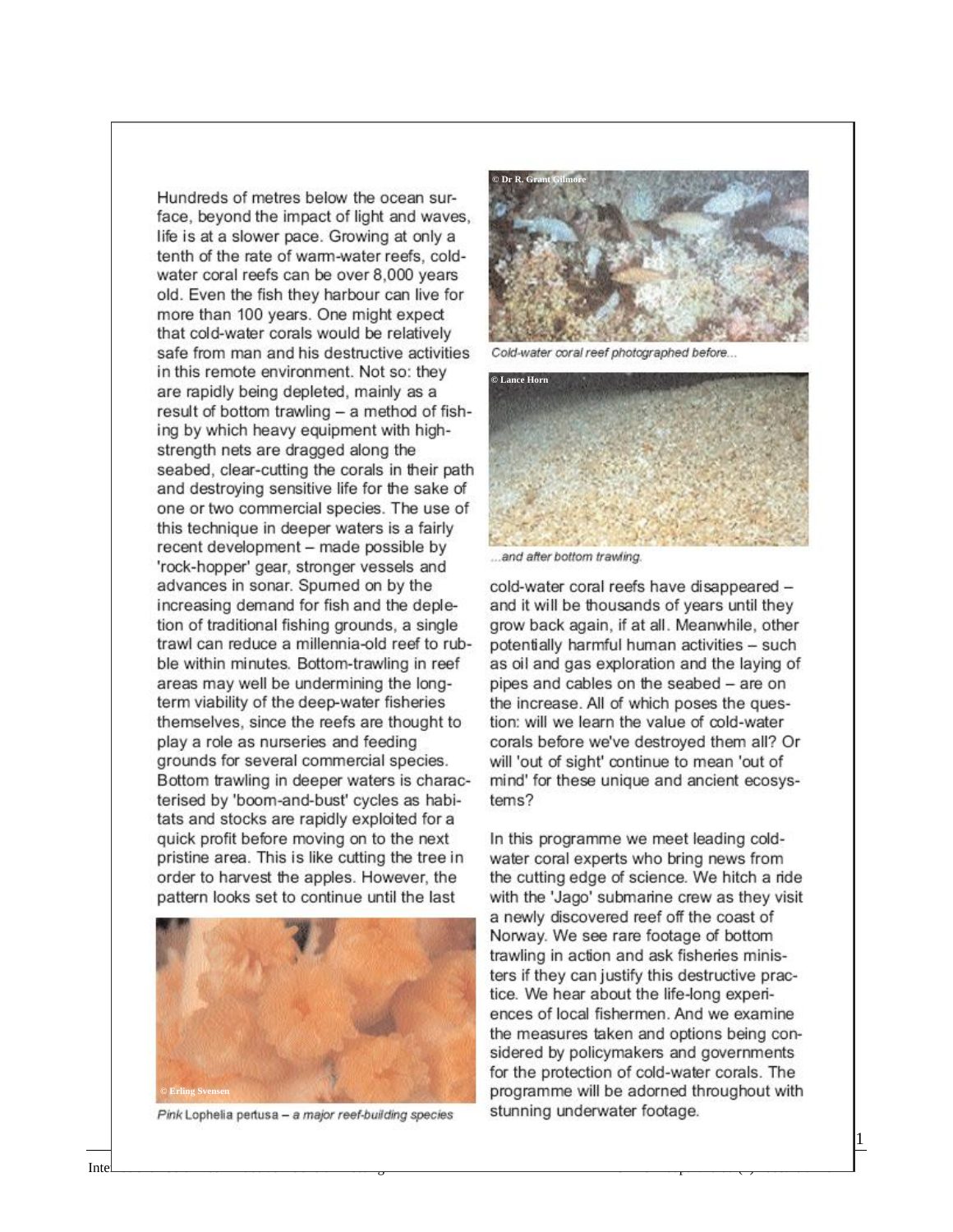Hundreds of metres below the ocean surface, bevond the impact of light and waves. life is at a slower pace. Growing at only a tenth of the rate of warm-water reefs, coldwater coral reefs can be over 8,000 years old. Even the fish they harbour can live for more than 100 years. One might expect that cold-water corals would be relatively safe from man and his destructive activities in this remote environment. Not so: they are rapidly being depleted, mainly as a result of bottom trawling - a method of fishing by which heavy equipment with highstrength nets are dragged along the seabed, clear-cutting the corals in their path and destroying sensitive life for the sake of one or two commercial species. The use of this technique in deeper waters is a fairly recent development - made possible by 'rock-hopper' gear, stronger vessels and advances in sonar. Spumed on by the increasing demand for fish and the depletion of traditional fishing grounds, a single trawl can reduce a millennia-old reef to rubble within minutes. Bottom-trawling in reef areas may well be undermining the longterm viability of the deep-water fisheries themselves, since the reefs are thought to play a role as nurseries and feeding grounds for several commercial species. Bottom trawling in deeper waters is characterised by 'boom-and-bust' cycles as habitats and stocks are rapidly exploited for a quick profit before moving on to the next pristine area. This is like cutting the tree in order to harvest the apples. However, the pattern looks set to continue until the last



Pink Lophelia pertusa - a major reef-building species



Cold-water coral reef photographed before...



.and after bottom trawling.

cold-water coral reefs have disappeared and it will be thousands of years until they grow back again, if at all. Meanwhile, other potentially harmful human activities - such as oil and gas exploration and the laying of pipes and cables on the seabed - are on the increase. All of which poses the question: will we learn the value of cold-water corals before we've destroved them all? Or will 'out of sight' continue to mean 'out of mind' for these unique and ancient ecosystems?

In this programme we meet leading coldwater coral experts who bring news from the cutting edge of science. We hitch a ride with the 'Jago' submarine crew as they visit a newly discovered reef off the coast of Norway. We see rare footage of bottom trawling in action and ask fisheries ministers if they can justify this destructive practice. We hear about the life-long experiences of local fishermen. And we examine the measures taken and options being considered by policymakers and governments for the protection of cold-water corals. The programme will be adorned throughout with stunning underwater footage.

 $\vert$  21 of 21 of 21 of 21 of 21 of 21 of 21 of 21 of 21 of 21 of 21 of 21 of 21 of 21 of 21 of 21 of 21 of 21 of 21 of 21 of 21 of 21 of 21 of 21 of 21 of 21 of 21 of 21 of 21 of 21 of 21 of 21 of 21 of 21 of 21 of 21 of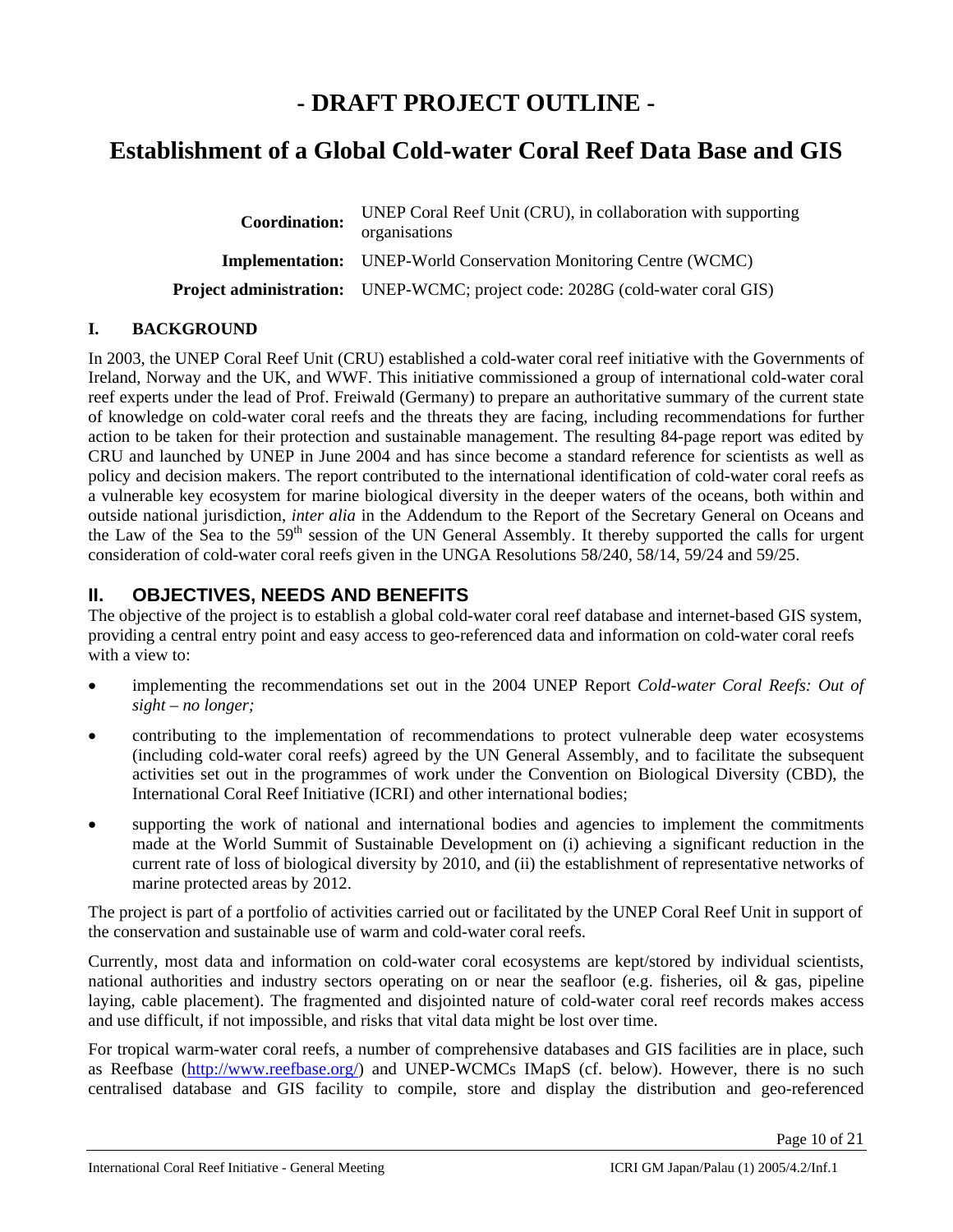# **- DRAFT PROJECT OUTLINE -**

# **Establishment of a Global Cold-water Coral Reef Data Base and GIS**

| <b>Coordination:</b> | UNEP Coral Reef Unit (CRU), in collaboration with supporting<br>organisations        |
|----------------------|--------------------------------------------------------------------------------------|
|                      | <b>Implementation:</b> UNEP-World Conservation Monitoring Centre (WCMC)              |
|                      | <b>Project administration:</b> UNEP-WCMC; project code: 2028G (cold-water coral GIS) |

# **I. BACKGROUND**

In 2003, the UNEP Coral Reef Unit (CRU) established a cold-water coral reef initiative with the Governments of Ireland, Norway and the UK, and WWF. This initiative commissioned a group of international cold-water coral reef experts under the lead of Prof. Freiwald (Germany) to prepare an authoritative summary of the current state of knowledge on cold-water coral reefs and the threats they are facing, including recommendations for further action to be taken for their protection and sustainable management. The resulting 84-page report was edited by CRU and launched by UNEP in June 2004 and has since become a standard reference for scientists as well as policy and decision makers. The report contributed to the international identification of cold-water coral reefs as a vulnerable key ecosystem for marine biological diversity in the deeper waters of the oceans, both within and outside national jurisdiction, *inter alia* in the Addendum to the Report of the Secretary General on Oceans and the Law of the Sea to the 59<sup>th</sup> session of the UN General Assembly. It thereby supported the calls for urgent consideration of cold-water coral reefs given in the UNGA Resolutions 58/240, 58/14, 59/24 and 59/25.

# **II. OBJECTIVES, NEEDS AND BENEFITS**

The objective of the project is to establish a global cold-water coral reef database and internet-based GIS system, providing a central entry point and easy access to geo-referenced data and information on cold-water coral reefs with a view to:

- implementing the recommendations set out in the 2004 UNEP Report *Cold-water Coral Reefs: Out of sight – no longer;*
- contributing to the implementation of recommendations to protect vulnerable deep water ecosystems (including cold-water coral reefs) agreed by the UN General Assembly, and to facilitate the subsequent activities set out in the programmes of work under the Convention on Biological Diversity (CBD), the International Coral Reef Initiative (ICRI) and other international bodies;
- supporting the work of national and international bodies and agencies to implement the commitments made at the World Summit of Sustainable Development on (i) achieving a significant reduction in the current rate of loss of biological diversity by 2010, and (ii) the establishment of representative networks of marine protected areas by 2012.

The project is part of a portfolio of activities carried out or facilitated by the UNEP Coral Reef Unit in support of the conservation and sustainable use of warm and cold-water coral reefs.

Currently, most data and information on cold-water coral ecosystems are kept/stored by individual scientists, national authorities and industry sectors operating on or near the seafloor (e.g. fisheries, oil & gas, pipeline laying, cable placement). The fragmented and disjointed nature of cold-water coral reef records makes access and use difficult, if not impossible, and risks that vital data might be lost over time.

For tropical warm-water coral reefs, a number of comprehensive databases and GIS facilities are in place, such as Reefbase (http://www.reefbase.org/) and UNEP-WCMCs IMapS (cf. below). However, there is no such centralised database and GIS facility to compile, store and display the distribution and geo-referenced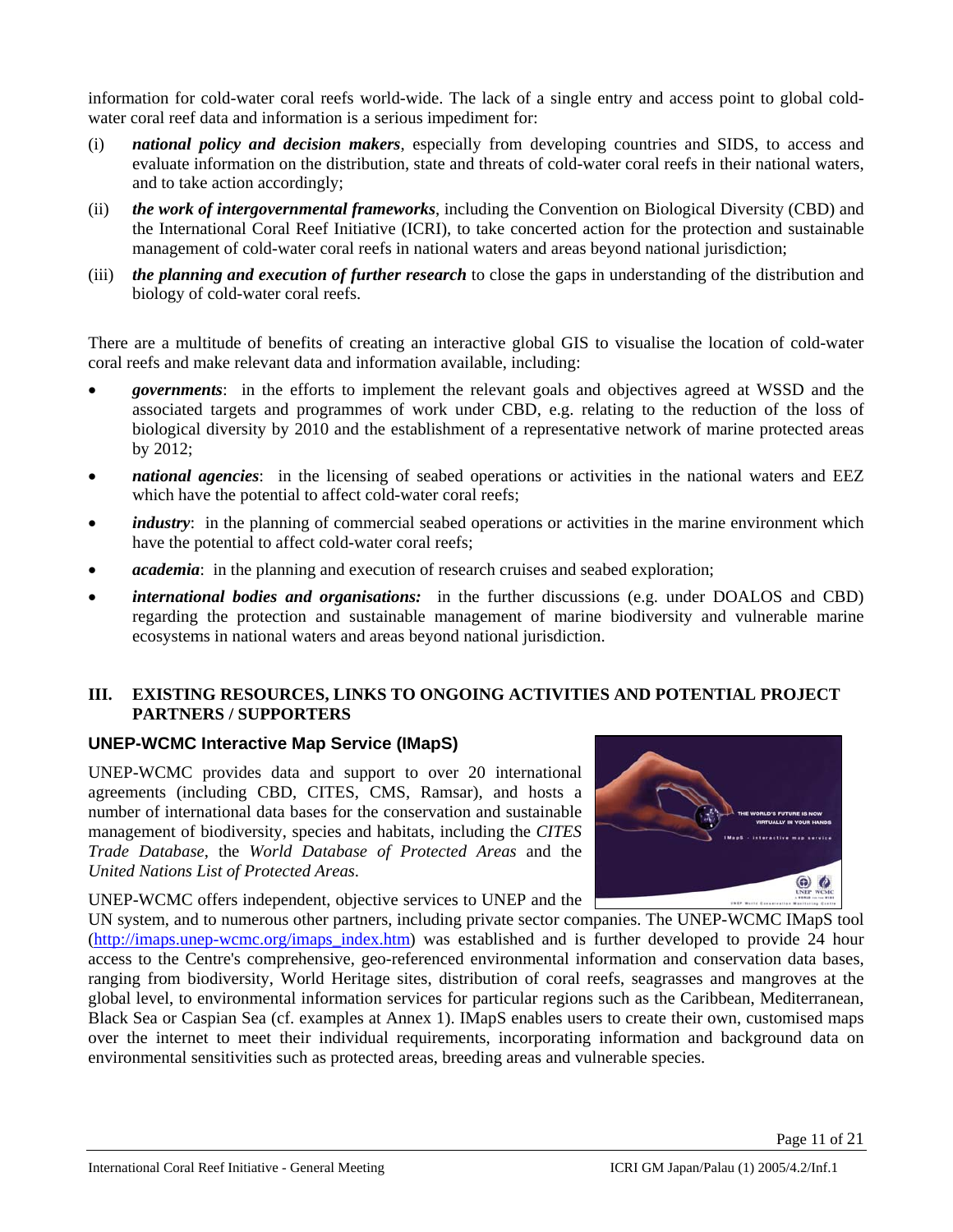information for cold-water coral reefs world-wide. The lack of a single entry and access point to global coldwater coral reef data and information is a serious impediment for:

- (i) *national policy and decision makers*, especially from developing countries and SIDS, to access and evaluate information on the distribution, state and threats of cold-water coral reefs in their national waters, and to take action accordingly;
- (ii) *the work of intergovernmental frameworks*, including the Convention on Biological Diversity (CBD) and the International Coral Reef Initiative (ICRI), to take concerted action for the protection and sustainable management of cold-water coral reefs in national waters and areas beyond national jurisdiction;
- (iii) *the planning and execution of further research* to close the gaps in understanding of the distribution and biology of cold-water coral reefs.

There are a multitude of benefits of creating an interactive global GIS to visualise the location of cold-water coral reefs and make relevant data and information available, including:

- *governments*: in the efforts to implement the relevant goals and objectives agreed at WSSD and the associated targets and programmes of work under CBD, e.g. relating to the reduction of the loss of biological diversity by 2010 and the establishment of a representative network of marine protected areas by 2012;
- *national agencies*: in the licensing of seabed operations or activities in the national waters and EEZ which have the potential to affect cold-water coral reefs;
- *industry*: in the planning of commercial seabed operations or activities in the marine environment which have the potential to affect cold-water coral reefs;
- *academia*: in the planning and execution of research cruises and seabed exploration;
- *international bodies and organisations:* in the further discussions (e.g. under DOALOS and CBD) regarding the protection and sustainable management of marine biodiversity and vulnerable marine ecosystems in national waters and areas beyond national jurisdiction.

### **III. EXISTING RESOURCES, LINKS TO ONGOING ACTIVITIES AND POTENTIAL PROJECT PARTNERS / SUPPORTERS**

# **UNEP-WCMC Interactive Map Service (IMapS)**

UNEP-WCMC provides data and support to over 20 international agreements (including CBD, CITES, CMS, Ramsar), and hosts a number of international data bases for the conservation and sustainable management of biodiversity, species and habitats, including the *CITES Trade Database*, the *World Database of Protected Areas* and the *United Nations List of Protected Areas*.

UNEP-WCMC offers independent, objective services to UNEP and the



UN system, and to numerous other partners, including private sector companies. The UNEP-WCMC IMapS tool (http://imaps.unep-wcmc.org/imaps\_index.htm) was established and is further developed to provide 24 hour access to the Centre's comprehensive, geo-referenced environmental information and conservation data bases, ranging from biodiversity, World Heritage sites, distribution of coral reefs, seagrasses and mangroves at the global level, to environmental information services for particular regions such as the Caribbean, Mediterranean, Black Sea or Caspian Sea (cf. examples at Annex 1). IMapS enables users to create their own, customised maps over the internet to meet their individual requirements, incorporating information and background data on environmental sensitivities such as protected areas, breeding areas and vulnerable species.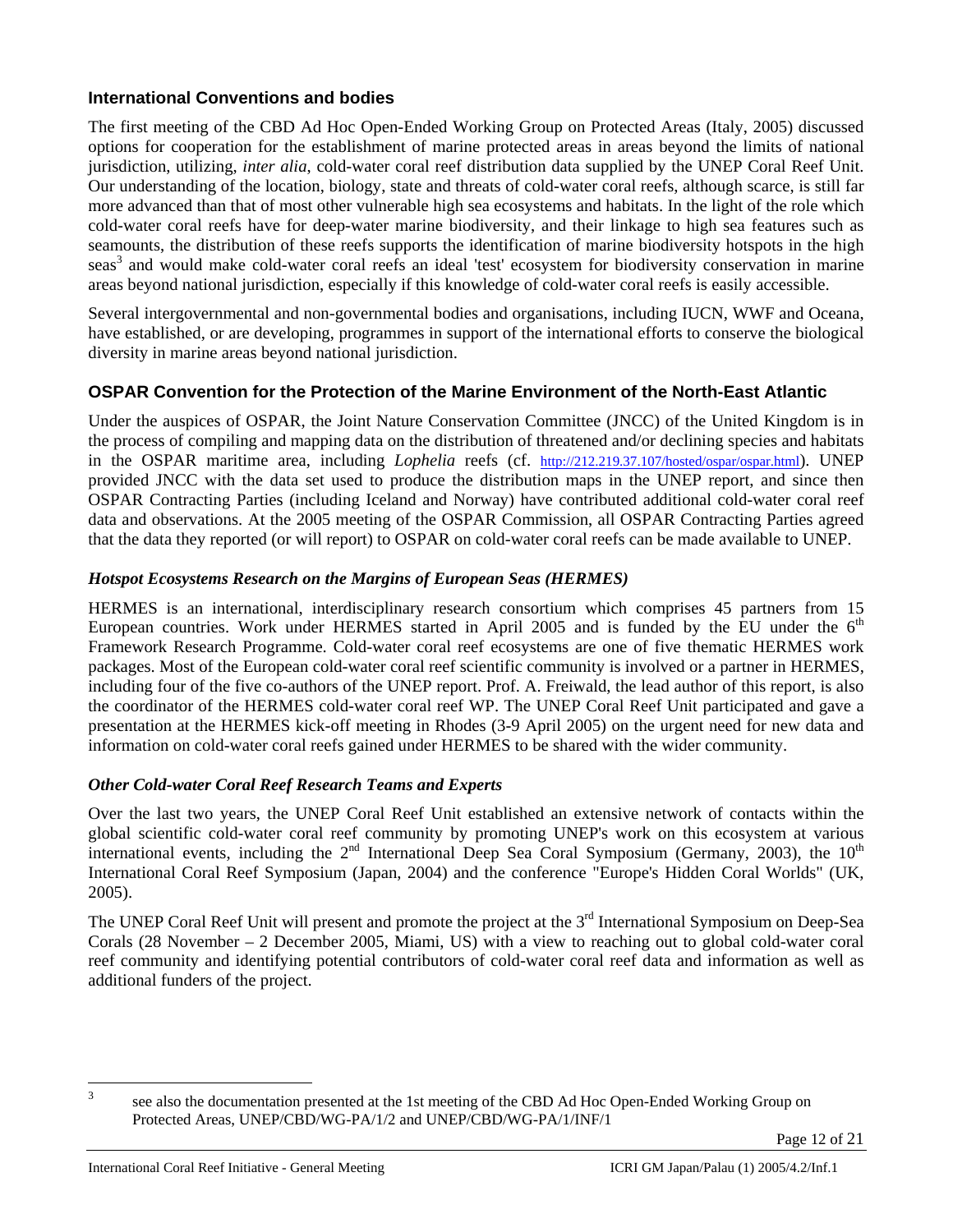# **International Conventions and bodies**

The first meeting of the CBD Ad Hoc Open-Ended Working Group on Protected Areas (Italy, 2005) discussed options for cooperation for the establishment of marine protected areas in areas beyond the limits of national jurisdiction, utilizing, *inter alia*, cold-water coral reef distribution data supplied by the UNEP Coral Reef Unit. Our understanding of the location, biology, state and threats of cold-water coral reefs, although scarce, is still far more advanced than that of most other vulnerable high sea ecosystems and habitats. In the light of the role which cold-water coral reefs have for deep-water marine biodiversity, and their linkage to high sea features such as seamounts, the distribution of these reefs supports the identification of marine biodiversity hotspots in the high seas<sup>3</sup> and would make cold-water coral reefs an ideal 'test' ecosystem for biodiversity conservation in marine areas beyond national jurisdiction, especially if this knowledge of cold-water coral reefs is easily accessible.

Several intergovernmental and non-governmental bodies and organisations, including IUCN, WWF and Oceana, have established, or are developing, programmes in support of the international efforts to conserve the biological diversity in marine areas beyond national jurisdiction.

# **OSPAR Convention for the Protection of the Marine Environment of the North-East Atlantic**

Under the auspices of OSPAR, the Joint Nature Conservation Committee (JNCC) of the United Kingdom is in the process of compiling and mapping data on the distribution of threatened and/or declining species and habitats in the OSPAR maritime area, including *Lophelia* reefs (cf. http://212.219.37.107/hosted/ospar/ospar.html). UNEP provided JNCC with the data set used to produce the distribution maps in the UNEP report, and since then OSPAR Contracting Parties (including Iceland and Norway) have contributed additional cold-water coral reef data and observations. At the 2005 meeting of the OSPAR Commission, all OSPAR Contracting Parties agreed that the data they reported (or will report) to OSPAR on cold-water coral reefs can be made available to UNEP.

# *Hotspot Ecosystems Research on the Margins of European Seas (HERMES)*

HERMES is an international, interdisciplinary research consortium which comprises 45 partners from 15 European countries. Work under HERMES started in April 2005 and is funded by the EU under the  $6<sup>th</sup>$ Framework Research Programme. Cold-water coral reef ecosystems are one of five thematic HERMES work packages. Most of the European cold-water coral reef scientific community is involved or a partner in HERMES, including four of the five co-authors of the UNEP report. Prof. A. Freiwald, the lead author of this report, is also the coordinator of the HERMES cold-water coral reef WP. The UNEP Coral Reef Unit participated and gave a presentation at the HERMES kick-off meeting in Rhodes (3-9 April 2005) on the urgent need for new data and information on cold-water coral reefs gained under HERMES to be shared with the wider community.

# *Other Cold-water Coral Reef Research Teams and Experts*

Over the last two years, the UNEP Coral Reef Unit established an extensive network of contacts within the global scientific cold-water coral reef community by promoting UNEP's work on this ecosystem at various international events, including the  $2<sup>nd</sup>$  International Deep Sea Coral Symposium (Germany, 2003), the  $10<sup>th</sup>$ International Coral Reef Symposium (Japan, 2004) and the conference "Europe's Hidden Coral Worlds" (UK, 2005).

The UNEP Coral Reef Unit will present and promote the project at the 3<sup>rd</sup> International Symposium on Deep-Sea Corals (28 November – 2 December 2005, Miami, US) with a view to reaching out to global cold-water coral reef community and identifying potential contributors of cold-water coral reef data and information as well as additional funders of the project.

 $\overline{\mathbf{3}}$ 

see also the documentation presented at the 1st meeting of the CBD Ad Hoc Open-Ended Working Group on Protected Areas, UNEP/CBD/WG-PA/1/2 and UNEP/CBD/WG-PA/1/INF/1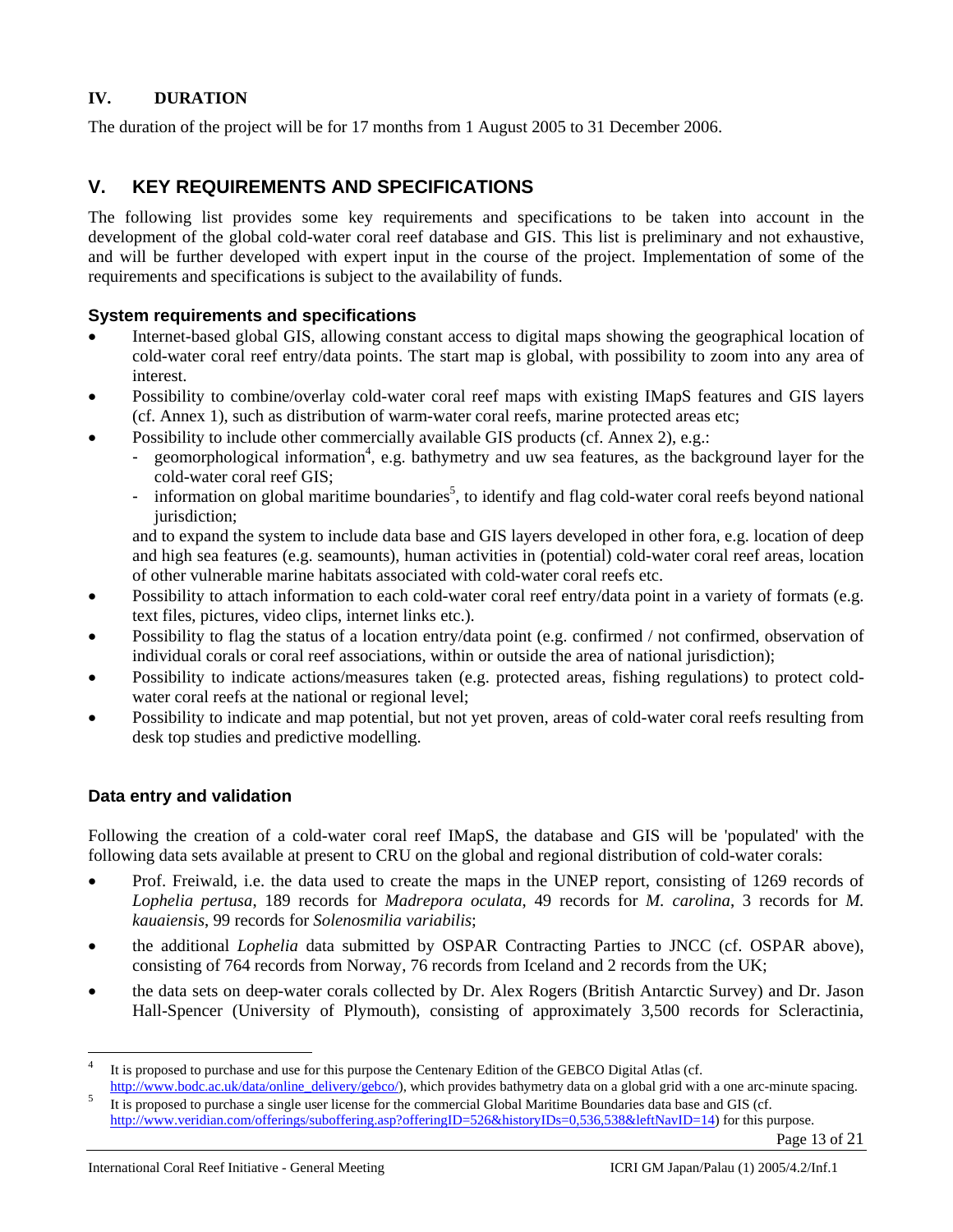# **IV. DURATION**

The duration of the project will be for 17 months from 1 August 2005 to 31 December 2006.

# **V. KEY REQUIREMENTS AND SPECIFICATIONS**

The following list provides some key requirements and specifications to be taken into account in the development of the global cold-water coral reef database and GIS. This list is preliminary and not exhaustive, and will be further developed with expert input in the course of the project. Implementation of some of the requirements and specifications is subject to the availability of funds.

### **System requirements and specifications**

- Internet-based global GIS, allowing constant access to digital maps showing the geographical location of cold-water coral reef entry/data points. The start map is global, with possibility to zoom into any area of interest.
- Possibility to combine/overlay cold-water coral reef maps with existing IMapS features and GIS layers (cf. Annex 1), such as distribution of warm-water coral reefs, marine protected areas etc;
- Possibility to include other commercially available GIS products (cf. Annex 2), e.g.:
	- geomorphological information<sup>4</sup>, e.g. bathymetry and uw sea features, as the background layer for the cold-water coral reef GIS;
	- information on global maritime boundaries<sup>5</sup>, to identify and flag cold-water coral reefs beyond national jurisdiction:

and to expand the system to include data base and GIS layers developed in other fora, e.g. location of deep and high sea features (e.g. seamounts), human activities in (potential) cold-water coral reef areas, location of other vulnerable marine habitats associated with cold-water coral reefs etc.

- Possibility to attach information to each cold-water coral reef entry/data point in a variety of formats (e.g. text files, pictures, video clips, internet links etc.).
- Possibility to flag the status of a location entry/data point (e.g. confirmed / not confirmed, observation of individual corals or coral reef associations, within or outside the area of national jurisdiction);
- Possibility to indicate actions/measures taken (e.g. protected areas, fishing regulations) to protect coldwater coral reefs at the national or regional level;
- Possibility to indicate and map potential, but not yet proven, areas of cold-water coral reefs resulting from desk top studies and predictive modelling.

# **Data entry and validation**

l

Following the creation of a cold-water coral reef IMapS, the database and GIS will be 'populated' with the following data sets available at present to CRU on the global and regional distribution of cold-water corals:

- Prof. Freiwald, i.e. the data used to create the maps in the UNEP report, consisting of 1269 records of *Lophelia pertusa*, 189 records for *Madrepora oculata*, 49 records for *M. carolina*, 3 records for *M. kauaiensis*, 99 records for *Solenosmilia variabilis*;
- the additional *Lophelia* data submitted by OSPAR Contracting Parties to JNCC (cf. OSPAR above), consisting of 764 records from Norway, 76 records from Iceland and 2 records from the UK;
- the data sets on deep-water corals collected by Dr. Alex Rogers (British Antarctic Survey) and Dr. Jason Hall-Spencer (University of Plymouth), consisting of approximately 3,500 records for Scleractinia,

It is proposed to purchase and use for this purpose the Centenary Edition of the GEBCO Digital Atlas (cf.<br>http://www.bodc.ac.uk/data/online\_delivery/gebco/), which provides bathymetry data on a global grid with a one arc-m

<sup>&</sup>lt;sup>5</sup> It is proposed to purchase a single user license for the commercial Global Maritime Boundaries data base and GIS (cf.

http://www.veridian.com/offerings/suboffering.asp?offeringID=526&historyIDs=0,536,538&leftNavID=14) for this purpose.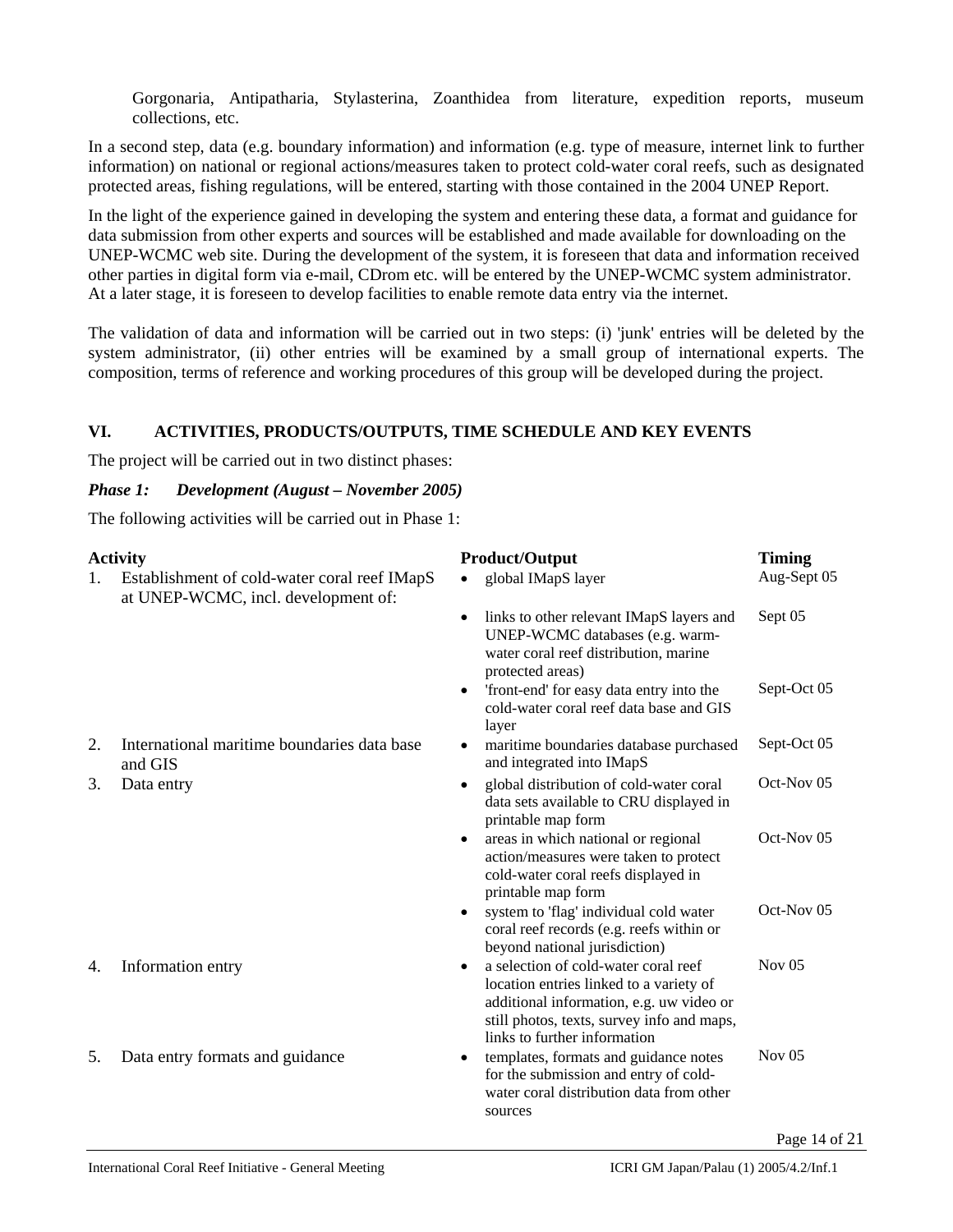Gorgonaria, Antipatharia, Stylasterina, Zoanthidea from literature, expedition reports, museum collections, etc.

In a second step, data (e.g. boundary information) and information (e.g. type of measure, internet link to further information) on national or regional actions/measures taken to protect cold-water coral reefs, such as designated protected areas, fishing regulations, will be entered, starting with those contained in the 2004 UNEP Report.

In the light of the experience gained in developing the system and entering these data, a format and guidance for data submission from other experts and sources will be established and made available for downloading on the UNEP-WCMC web site. During the development of the system, it is foreseen that data and information received other parties in digital form via e-mail, CDrom etc. will be entered by the UNEP-WCMC system administrator. At a later stage, it is foreseen to develop facilities to enable remote data entry via the internet.

The validation of data and information will be carried out in two steps: (i) 'junk' entries will be deleted by the system administrator, (ii) other entries will be examined by a small group of international experts. The composition, terms of reference and working procedures of this group will be developed during the project.

# **VI. ACTIVITIES, PRODUCTS/OUTPUTS, TIME SCHEDULE AND KEY EVENTS**

The project will be carried out in two distinct phases:

#### *Phase 1: Development (August – November 2005)*

The following activities will be carried out in Phase 1:

|    | <b>Activity</b>                                                                     | <b>Product/Output</b>                                                                                                                                                                                                  | <b>Timing</b> |
|----|-------------------------------------------------------------------------------------|------------------------------------------------------------------------------------------------------------------------------------------------------------------------------------------------------------------------|---------------|
| 1. | Establishment of cold-water coral reef IMapS<br>at UNEP-WCMC, incl. development of: | global IMapS layer<br>$\bullet$                                                                                                                                                                                        | Aug-Sept 05   |
|    |                                                                                     | links to other relevant IMapS layers and<br>$\bullet$<br>UNEP-WCMC databases (e.g. warm-<br>water coral reef distribution, marine<br>protected areas)                                                                  | Sept 05       |
|    |                                                                                     | 'front-end' for easy data entry into the<br>$\bullet$<br>cold-water coral reef data base and GIS<br>layer                                                                                                              | Sept-Oct 05   |
| 2. | International maritime boundaries data base<br>and GIS                              | maritime boundaries database purchased<br>$\bullet$<br>and integrated into IMapS                                                                                                                                       | Sept-Oct 05   |
| 3. | Data entry                                                                          | global distribution of cold-water coral<br>٠<br>data sets available to CRU displayed in<br>printable map form                                                                                                          | Oct-Nov 05    |
|    |                                                                                     | areas in which national or regional<br>٠<br>action/measures were taken to protect<br>cold-water coral reefs displayed in<br>printable map form                                                                         | Oct-Nov 05    |
|    |                                                                                     | system to 'flag' individual cold water<br>$\bullet$<br>coral reef records (e.g. reefs within or<br>beyond national jurisdiction)                                                                                       | Oct-Nov 05    |
| 4. | Information entry                                                                   | a selection of cold-water coral reef<br>$\bullet$<br>location entries linked to a variety of<br>additional information, e.g. uw video or<br>still photos, texts, survey info and maps,<br>links to further information | Nov $05$      |
| 5. | Data entry formats and guidance                                                     | templates, formats and guidance notes<br>٠<br>for the submission and entry of cold-<br>water coral distribution data from other<br>sources                                                                             | Nov $05$      |
|    |                                                                                     |                                                                                                                                                                                                                        | Page 14 of 21 |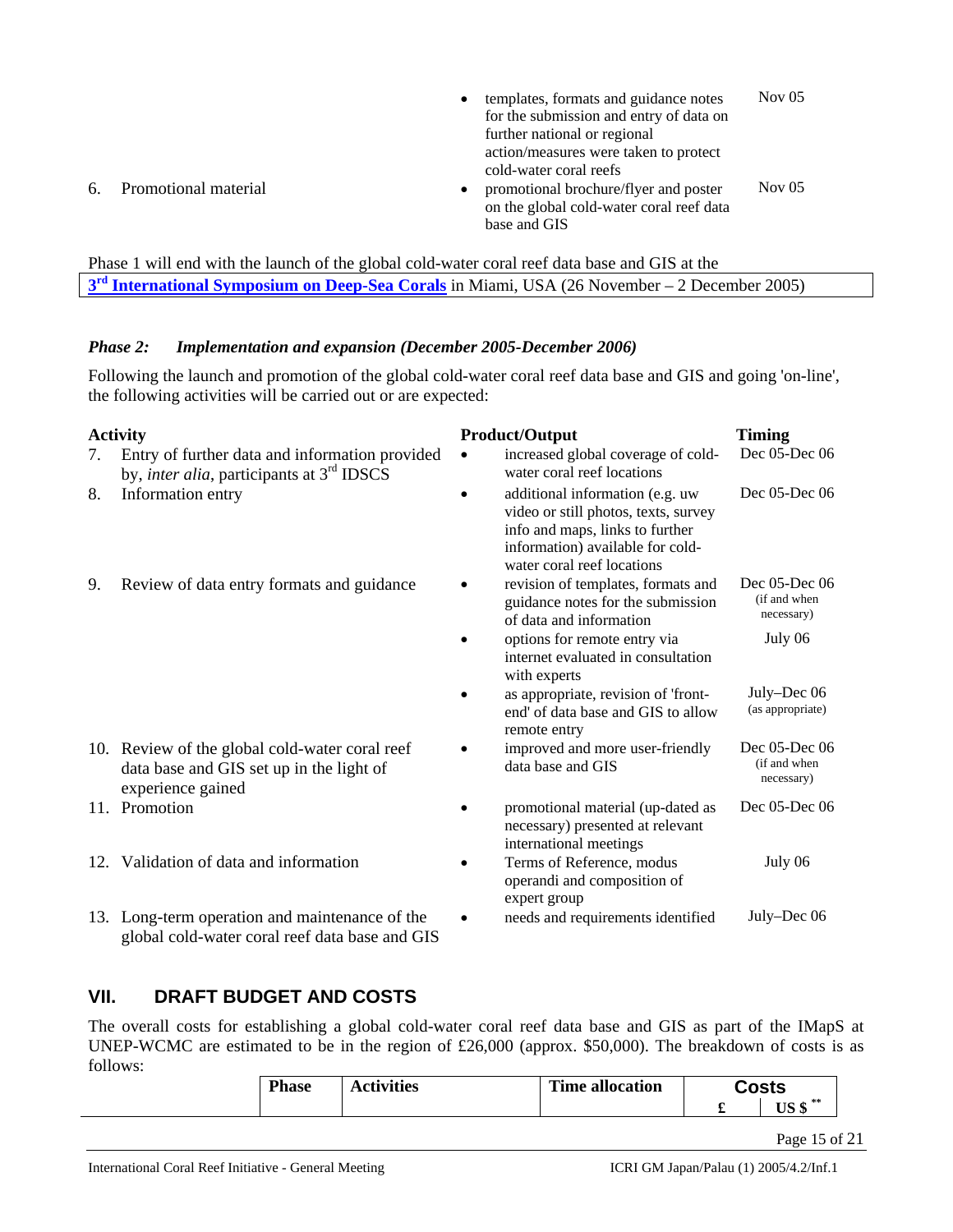• templates, formats and guidance notes for the submission and entry of data on further national or regional action/measures were taken to protect cold-water coral reefs Nov 05 6. Promotional material • promotional brochure/flyer and poster on the global cold-water coral reef data base and GIS Nov 05

Phase 1 will end with the launch of the global cold-water coral reef data base and GIS at the **3rd International Symposium on Deep-Sea Corals** in Miami, USA (26 November – 2 December 2005)

### *Phase 2: Implementation and expansion (December 2005-December 2006)*

Following the launch and promotion of the global cold-water coral reef data base and GIS and going 'on-line', the following activities will be carried out or are expected:

|     | <b>Activity</b>                                                                                                 |           | <b>Product/Output</b>                                                                                                                                                        | <b>Timing</b>                               |
|-----|-----------------------------------------------------------------------------------------------------------------|-----------|------------------------------------------------------------------------------------------------------------------------------------------------------------------------------|---------------------------------------------|
| 7.  | Entry of further data and information provided<br>by, <i>inter alia</i> , participants at 3 <sup>rd</sup> IDSCS | $\bullet$ | increased global coverage of cold-<br>water coral reef locations                                                                                                             | Dec 05-Dec 06                               |
| 8.  | Information entry                                                                                               |           | additional information (e.g. uw<br>video or still photos, texts, survey<br>info and maps, links to further<br>information) available for cold-<br>water coral reef locations | Dec 05-Dec 06                               |
| 9.  | Review of data entry formats and guidance                                                                       |           | revision of templates, formats and<br>guidance notes for the submission<br>of data and information                                                                           | Dec 05-Dec 06<br>(if and when<br>necessary) |
|     |                                                                                                                 |           | options for remote entry via<br>internet evaluated in consultation<br>with experts                                                                                           | July 06                                     |
|     |                                                                                                                 |           | as appropriate, revision of 'front-<br>end' of data base and GIS to allow<br>remote entry                                                                                    | July–Dec 06<br>(as appropriate)             |
|     | 10. Review of the global cold-water coral reef<br>data base and GIS set up in the light of<br>experience gained |           | improved and more user-friendly<br>data base and GIS                                                                                                                         | Dec 05-Dec 06<br>(if and when<br>necessary) |
|     | 11. Promotion                                                                                                   |           | promotional material (up-dated as<br>necessary) presented at relevant<br>international meetings                                                                              | Dec 05-Dec 06                               |
| 12. | Validation of data and information                                                                              |           | Terms of Reference, modus<br>operandi and composition of<br>expert group                                                                                                     | July 06                                     |
|     | 13. Long-term operation and maintenance of the<br>global cold-water coral reef data base and GIS                |           | needs and requirements identified                                                                                                                                            | July–Dec 06                                 |

# **VII. DRAFT BUDGET AND COSTS**

The overall costs for establishing a global cold-water coral reef data base and GIS as part of the IMapS at UNEP-WCMC are estimated to be in the region of £26,000 (approx. \$50,000). The breakdown of costs is as follows:

| <b>Phase</b> | <b>Activities</b> | <b>Time allocation</b> | <b>Costs</b>  |  |
|--------------|-------------------|------------------------|---------------|--|
|              |                   |                        | $USS^*$       |  |
|              |                   |                        | Page 15 of 21 |  |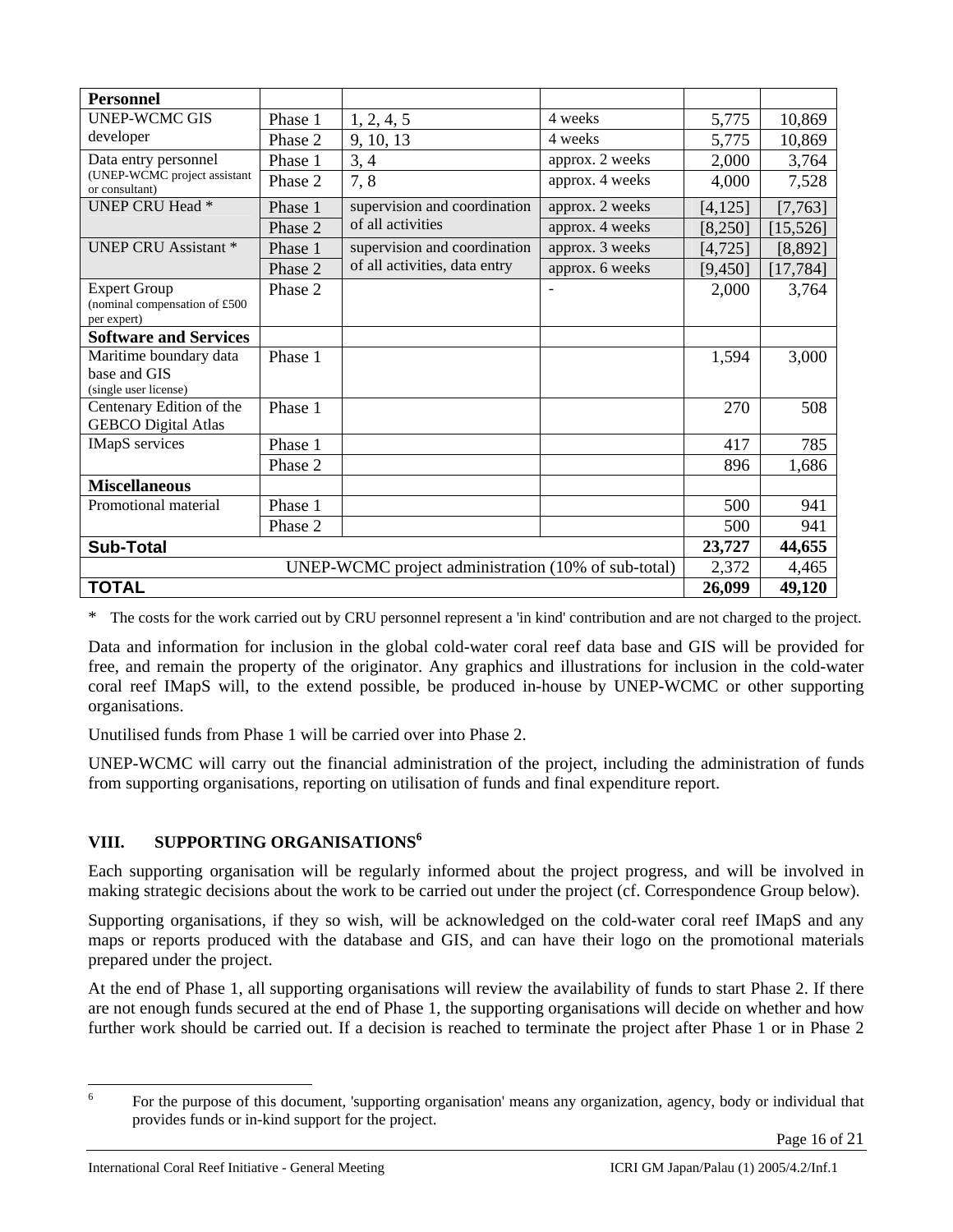| <b>Personnel</b>                                                    |         |                               |                 |          |           |
|---------------------------------------------------------------------|---------|-------------------------------|-----------------|----------|-----------|
| <b>UNEP-WCMC GIS</b>                                                | Phase 1 | 1, 2, 4, 5                    | 4 weeks         | 5,775    | 10,869    |
| developer                                                           | Phase 2 | 9, 10, 13                     | 4 weeks         | 5,775    | 10,869    |
| Data entry personnel                                                | Phase 1 | 3, 4                          | approx. 2 weeks | 2,000    | 3,764     |
| (UNEP-WCMC project assistant<br>or consultant)                      | Phase 2 | 7,8                           | approx. 4 weeks | 4,000    | 7,528     |
| <b>UNEP CRU Head *</b>                                              | Phase 1 | supervision and coordination  | approx. 2 weeks | [4, 125] | [7, 763]  |
|                                                                     | Phase 2 | of all activities             | approx. 4 weeks | [8,250]  | [15, 526] |
| <b>UNEP CRU Assistant *</b>                                         | Phase 1 | supervision and coordination  | approx. 3 weeks | [4, 725] | [8,892]   |
|                                                                     | Phase 2 | of all activities, data entry | approx. 6 weeks | [9,450]  | [17, 784] |
| <b>Expert Group</b><br>(nominal compensation of £500<br>per expert) | Phase 2 |                               |                 | 2,000    | 3,764     |
| <b>Software and Services</b>                                        |         |                               |                 |          |           |
| Maritime boundary data<br>base and GIS<br>(single user license)     | Phase 1 |                               |                 | 1,594    | 3,000     |
| Centenary Edition of the<br><b>GEBCO</b> Digital Atlas              | Phase 1 |                               |                 | 270      | 508       |
| <b>IMapS</b> services                                               | Phase 1 |                               |                 | 417      | 785       |
|                                                                     | Phase 2 |                               |                 | 896      | 1,686     |
| <b>Miscellaneous</b>                                                |         |                               |                 |          |           |
| Promotional material                                                | Phase 1 |                               |                 | 500      | 941       |
|                                                                     | Phase 2 |                               |                 | 500      | 941       |
| <b>Sub-Total</b>                                                    |         |                               | 23,727          | 44,655   |           |
| UNEP-WCMC project administration (10% of sub-total)                 |         |                               |                 | 2,372    | 4,465     |
| <b>TOTAL</b>                                                        |         |                               |                 | 26,099   | 49,120    |

\* The costs for the work carried out by CRU personnel represent a 'in kind' contribution and are not charged to the project.

Data and information for inclusion in the global cold-water coral reef data base and GIS will be provided for free, and remain the property of the originator. Any graphics and illustrations for inclusion in the cold-water coral reef IMapS will, to the extend possible, be produced in-house by UNEP-WCMC or other supporting organisations.

Unutilised funds from Phase 1 will be carried over into Phase 2.

UNEP-WCMC will carry out the financial administration of the project, including the administration of funds from supporting organisations, reporting on utilisation of funds and final expenditure report.

# **VIII. SUPPORTING ORGANISATIONS<sup>6</sup>**

Each supporting organisation will be regularly informed about the project progress, and will be involved in making strategic decisions about the work to be carried out under the project (cf. Correspondence Group below).

Supporting organisations, if they so wish, will be acknowledged on the cold-water coral reef IMapS and any maps or reports produced with the database and GIS, and can have their logo on the promotional materials prepared under the project.

At the end of Phase 1, all supporting organisations will review the availability of funds to start Phase 2. If there are not enough funds secured at the end of Phase 1, the supporting organisations will decide on whether and how further work should be carried out. If a decision is reached to terminate the project after Phase 1 or in Phase 2

 $\frac{1}{6}$  For the purpose of this document, 'supporting organisation' means any organization, agency, body or individual that provides funds or in-kind support for the project.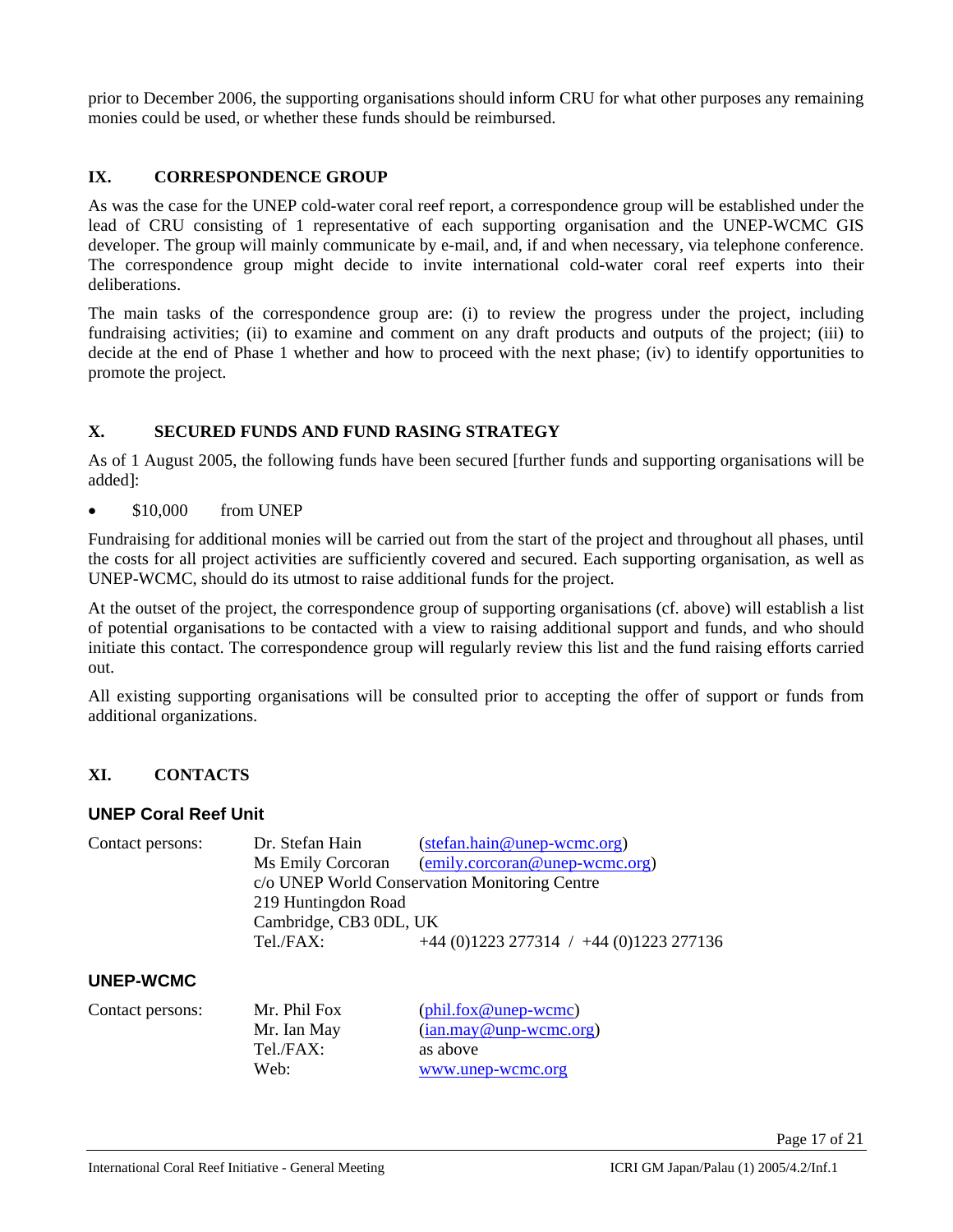prior to December 2006, the supporting organisations should inform CRU for what other purposes any remaining monies could be used, or whether these funds should be reimbursed.

### **IX. CORRESPONDENCE GROUP**

As was the case for the UNEP cold-water coral reef report, a correspondence group will be established under the lead of CRU consisting of 1 representative of each supporting organisation and the UNEP-WCMC GIS developer. The group will mainly communicate by e-mail, and, if and when necessary, via telephone conference. The correspondence group might decide to invite international cold-water coral reef experts into their deliberations.

The main tasks of the correspondence group are: (i) to review the progress under the project, including fundraising activities; (ii) to examine and comment on any draft products and outputs of the project; (iii) to decide at the end of Phase 1 whether and how to proceed with the next phase; (iv) to identify opportunities to promote the project.

# **X. SECURED FUNDS AND FUND RASING STRATEGY**

As of 1 August 2005, the following funds have been secured [further funds and supporting organisations will be added]:

• \$10,000 from UNEP

Fundraising for additional monies will be carried out from the start of the project and throughout all phases, until the costs for all project activities are sufficiently covered and secured. Each supporting organisation, as well as UNEP-WCMC, should do its utmost to raise additional funds for the project.

At the outset of the project, the correspondence group of supporting organisations (cf. above) will establish a list of potential organisations to be contacted with a view to raising additional support and funds, and who should initiate this contact. The correspondence group will regularly review this list and the fund raising efforts carried out.

All existing supporting organisations will be consulted prior to accepting the offer of support or funds from additional organizations.

# **XI. CONTACTS**

#### **UNEP Coral Reef Unit**

| Contact persons: | Dr. Stefan Hain        | $(setan.hain@unep-wcmc.org)$                  |
|------------------|------------------------|-----------------------------------------------|
|                  | Ms Emily Corcoran      | $(emily.corcoran@unep-wcmc.org)$              |
|                  |                        | c/o UNEP World Conservation Monitoring Centre |
|                  | 219 Huntingdon Road    |                                               |
|                  | Cambridge, CB3 0DL, UK |                                               |
|                  | Tel./FAX:              | $+44$ (0)1223 277314 / $+44$ (0)1223 277136   |
|                  |                        |                                               |

#### **UNEP-WCMC**

| Contact persons: | Mr. Phil Fox | $(\text{phil.fox@unep-wcmc})$ |
|------------------|--------------|-------------------------------|
|                  | Mr. Ian May  | $(ian.max@unp-wcmc.org)$      |
|                  | Tel./FAX:    | as above                      |
|                  | Web:         | www.unep-wcmc.org             |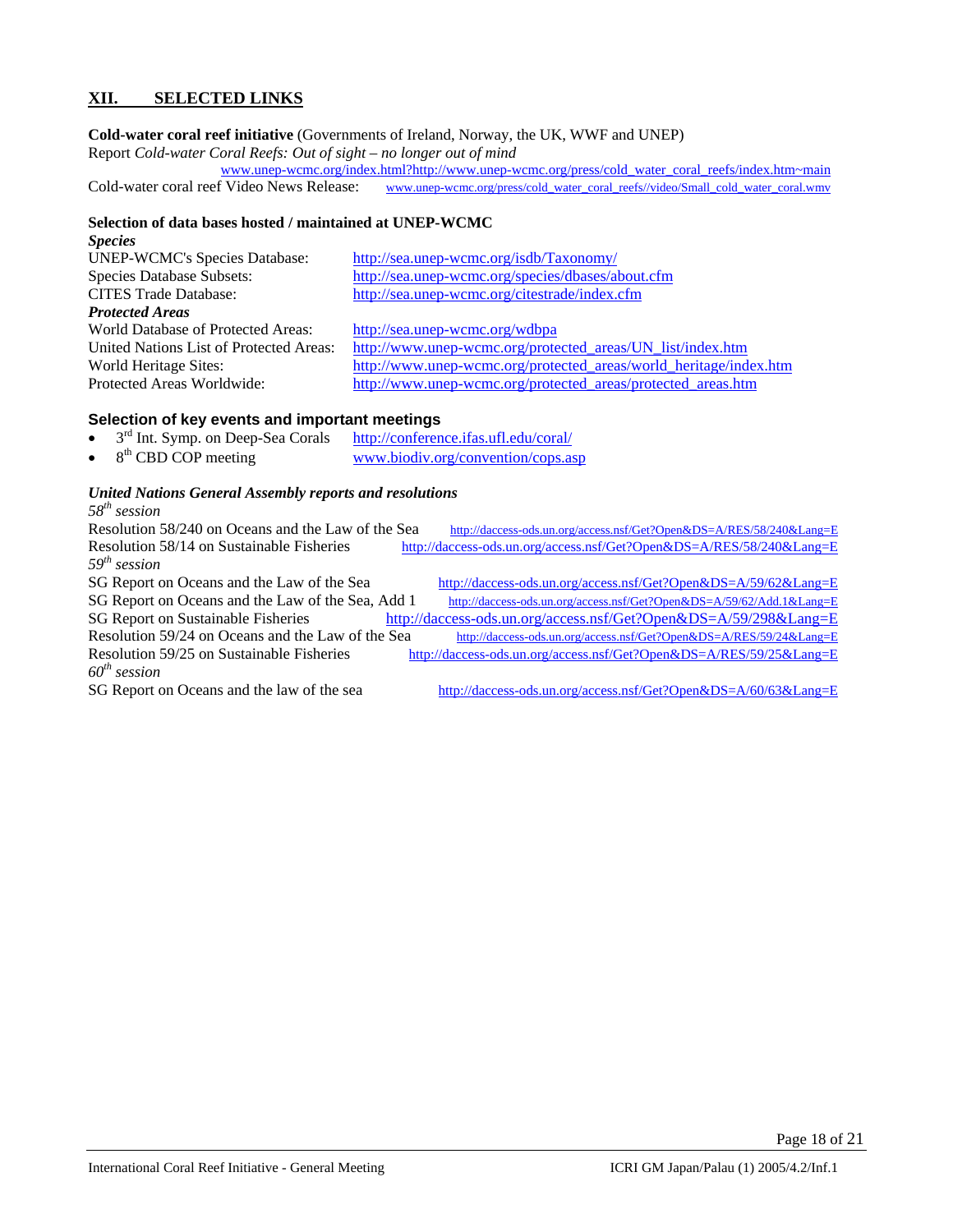### **XII. SELECTED LINKS**

#### **Cold-water coral reef initiative** (Governments of Ireland, Norway, the UK, WWF and UNEP)

Report *Cold-water Coral Reefs: Out of sight – no longer out of mind*

www.unep-wcmc.org/index.html?http://www.unep-wcmc.org/press/cold\_water\_coral\_reefs/index.htm~main Cold-water coral reef Video News Release: www.unep-wcmc.org/press/cold\_water\_coral\_reefs//video/Small\_cold\_water\_coral.wmv

#### **Selection of data bases hosted / maintained at UNEP-WCMC**

| http://sea.unep-wcmc.org/isdb/Taxonomy/                           |
|-------------------------------------------------------------------|
| http://sea.unep-wcmc.org/species/dbases/about.cfm                 |
| http://sea.unep-wcmc.org/citestrade/index.cfm                     |
|                                                                   |
| http://sea.unep-wcmc.org/wdbpa                                    |
| http://www.unep-wcmc.org/protected areas/UN list/index.htm        |
| http://www.unep-wcmc.org/protected areas/world heritage/index.htm |
| http://www.unep-wcmc.org/protected_areas/protected_areas.htm      |
|                                                                   |

#### **Selection of key events and important meetings**

- 3rd Int. Symp. on Deep-Sea Corals http://conference.ifas.ufl.edu/coral/<br>8<sup>th</sup> CBD COP meeting www.biodiv.org/convention/cops.as
- www.biodiv.org/convention/cops.asp

# *United Nations General Assembly reports and resolutions*

| $58^{th}$ session |
|-------------------|
|                   |

| Resolution 58/240 on Oceans and the Law of the Sea | http://daccess-ods.un.org/access.nsf/Get?Open&DS=A/RES/58/240⟪=E  |
|----------------------------------------------------|-------------------------------------------------------------------|
| Resolution 58/14 on Sustainable Fisheries          | http://daccess-ods.un.org/access.nsf/Get?Open&DS=A/RES/58/240⟪=E  |
| $59th$ session                                     |                                                                   |
| SG Report on Oceans and the Law of the Sea         | http://daccess-ods.un.org/access.nsf/Get?Open&DS=A/59/62⟪=E       |
| SG Report on Oceans and the Law of the Sea, Add 1  | http://daccess-ods.un.org/access.nsf/Get?Open&DS=A/59/62/Add.1⟪=E |
| SG Report on Sustainable Fisheries                 | http://daccess-ods.un.org/access.nsf/Get?Open&DS=A/59/298⟪=E      |
| Resolution 59/24 on Oceans and the Law of the Sea  | http://daccess-ods.un.org/access.nsf/Get?Open&DS=A/RES/59/24⟪=E   |
| Resolution 59/25 on Sustainable Fisheries          | http://daccess-ods.un.org/access.nsf/Get?Open&DS=A/RES/59/25⟪=E   |
| $60th$ session                                     |                                                                   |
| SG Report on Oceans and the law of the sea         | http://daccess-ods.un.org/access.nsf/Get?Open&DS=A/60/63⟪=E       |
|                                                    |                                                                   |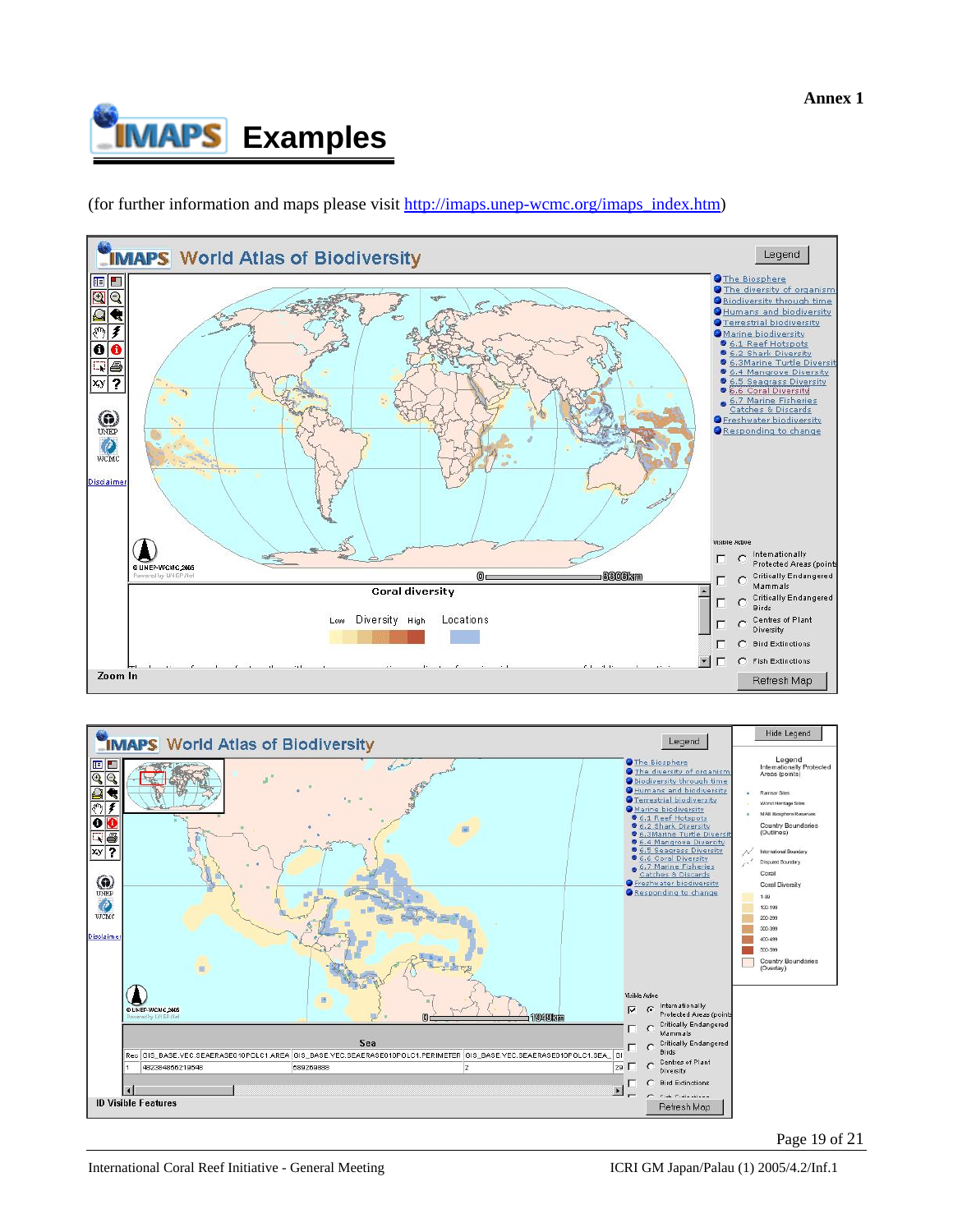

(for further information and maps please visit http://imaps.unep-wcmc.org/imaps\_index.htm)





Page 19 of 21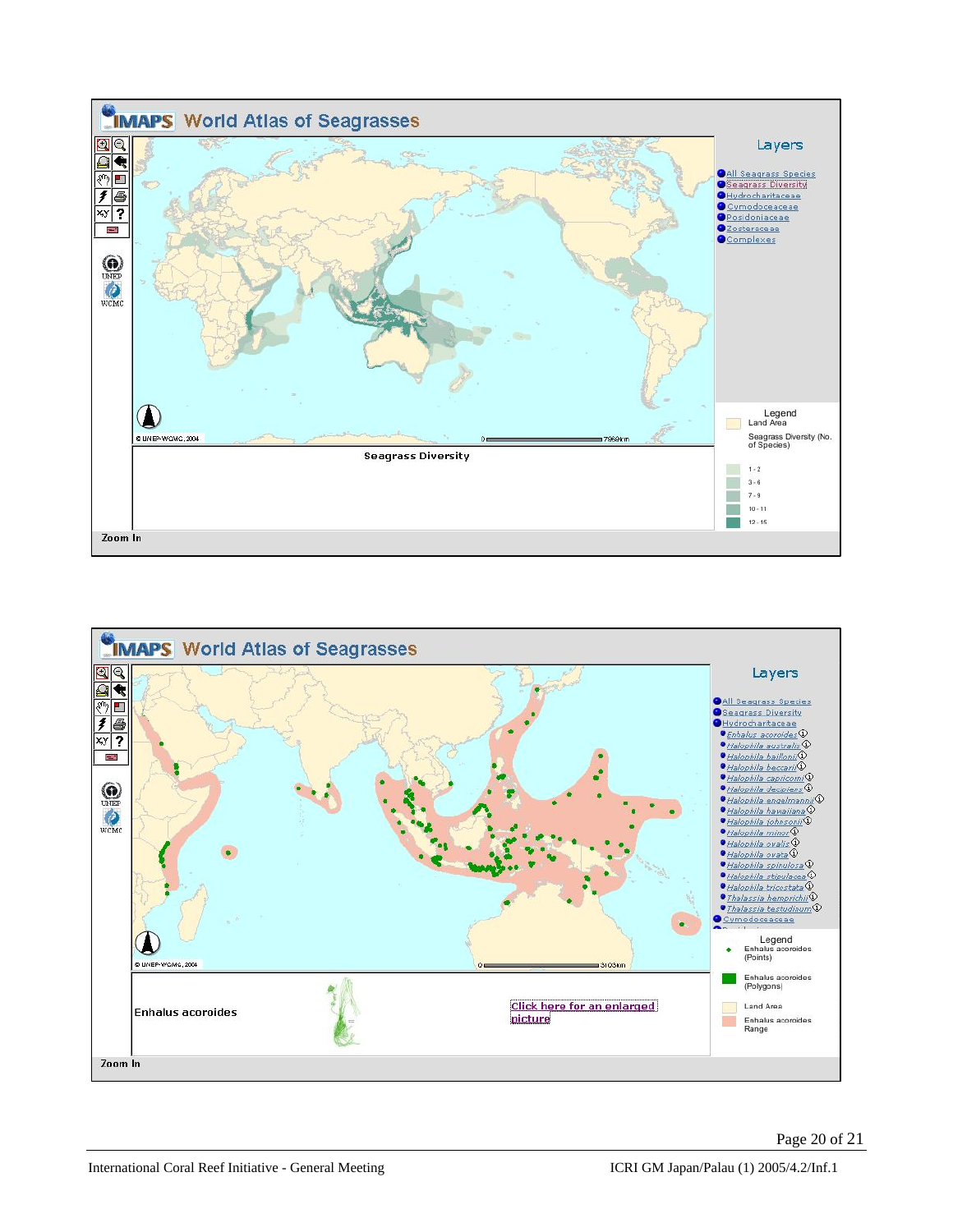